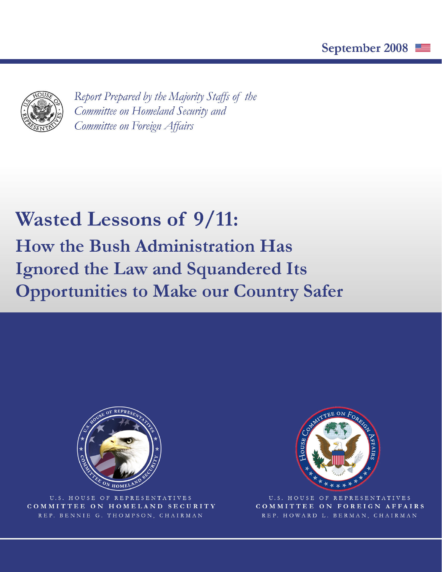

Report Prepared by the Majority Staffs of the Committee on Homeland Security and Committee on Foreign Affairs

# **Wasted Lessons of 9/11: How the Bush Administration Has Ignored the Law and Squandered Its Opportunities to Make our Country Safer**



U.S. HOUSE OF REPRESENTATIVES COMMITTEE ON HOMELAND SECURITY REP. BENNIE G. THOMPSON, CHAIRMAN



U.S. HOUSE OF REPRESENTATIVES COMMITTEE ON FOREIGN AFFAIRS REP. HOWARD L. BERMAN, CHAIRMAN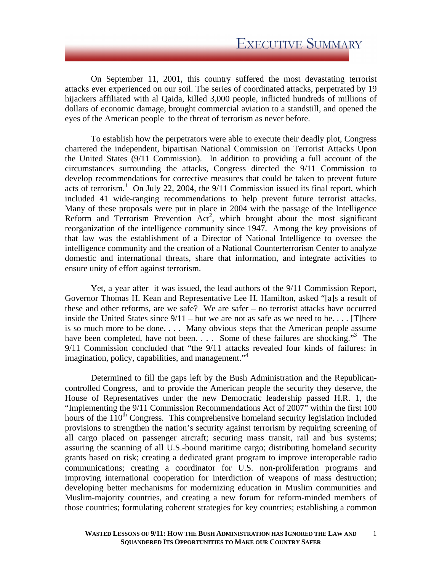On September 11, 2001, this country suffered the most devastating terrorist attacks ever experienced on our soil. The series of coordinated attacks, perpetrated by 19 hijackers affiliated with al Qaida, killed 3,000 people, inflicted hundreds of millions of dollars of economic damage, brought commercial aviation to a standstill, and opened the eyes of the American people to the threat of terrorism as never before.

To establish how the perpetrators were able to execute their deadly plot, Congress chartered the independent, bipartisan National Commission on Terrorist Attacks Upon the United States (9/11 Commission). In addition to providing a full account of the circumstances surrounding the attacks, Congress directed the 9/11 Commission to develop recommendations for corrective measures that could be taken to prevent future acts of terrorism.<sup>1</sup> On July 22, 2004, the  $9/11$  Commission issued its final report, which included 41 wide-ranging recommendations to help prevent future terrorist attacks. Many of these proposals were put in place in 2004 with the passage of the Intelligence Reform and Terrorism Prevention  $\text{Act}^2$ , which brought about the most significant reorganization of the intelligence community since 1947. Among the key provisions of that law was the establishment of a Director of National Intelligence to oversee the intelligence community and the creation of a National Counterterrorism Center to analyze domestic and international threats, share that information, and integrate activities to ensure unity of effort against terrorism.

Yet, a year after it was issued, the lead authors of the 9/11 Commission Report, Governor Thomas H. Kean and Representative Lee H. Hamilton, asked "[a]s a result of these and other reforms, are we safe? We are safer – no terrorist attacks have occurred inside the United States since  $9/11 - \text{but we are not as safe as we need to be... [There] }$ is so much more to be done. . . . Many obvious steps that the American people assume have been completed, have not been. . . . Some of these failures are shocking."<sup>3</sup> The 9/11 Commission concluded that "the 9/11 attacks revealed four kinds of failures: in imagination, policy, capabilities, and management.<sup>"4</sup>

Determined to fill the gaps left by the Bush Administration and the Republicancontrolled Congress, and to provide the American people the security they deserve, the House of Representatives under the new Democratic leadership passed H.R. 1, the "Implementing the 9/11 Commission Recommendations Act of 2007" within the first 100 hours of the  $110<sup>th</sup>$  Congress. This comprehensive homeland security legislation included provisions to strengthen the nation's security against terrorism by requiring screening of all cargo placed on passenger aircraft; securing mass transit, rail and bus systems; assuring the scanning of all U.S.-bound maritime cargo; distributing homeland security grants based on risk; creating a dedicated grant program to improve interoperable radio communications; creating a coordinator for U.S. non-proliferation programs and improving international cooperation for interdiction of weapons of mass destruction; developing better mechanisms for modernizing education in Muslim communities and Muslim-majority countries, and creating a new forum for reform-minded members of those countries; formulating coherent strategies for key countries; establishing a common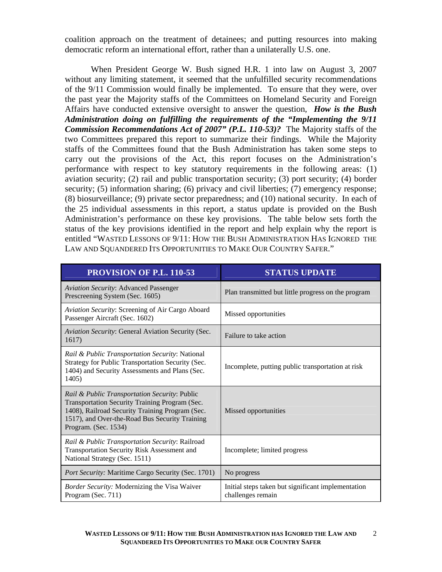coalition approach on the treatment of detainees; and putting resources into making democratic reform an international effort, rather than a unilaterally U.S. one.

When President George W. Bush signed H.R. 1 into law on August 3, 2007 without any limiting statement, it seemed that the unfulfilled security recommendations of the 9/11 Commission would finally be implemented. To ensure that they were, over the past year the Majority staffs of the Committees on Homeland Security and Foreign Affairs have conducted extensive oversight to answer the question, *How is the Bush Administration doing on fulfilling the requirements of the "Implementing the 9/11 Commission Recommendations Act of 2007" (P.L. 110-53)?* The Majority staffs of the two Committees prepared this report to summarize their findings. While the Majority staffs of the Committees found that the Bush Administration has taken some steps to carry out the provisions of the Act, this report focuses on the Administration's performance with respect to key statutory requirements in the following areas: (1) aviation security; (2) rail and public transportation security; (3) port security; (4) border security; (5) information sharing; (6) privacy and civil liberties; (7) emergency response; (8) biosurveillance; (9) private sector preparedness; and (10) national security. In each of the 25 individual assessments in this report, a status update is provided on the Bush Administration's performance on these key provisions. The table below sets forth the status of the key provisions identified in the report and help explain why the report is entitled "WASTED LESSONS OF 9/11: HOW THE BUSH ADMINISTRATION HAS IGNORED THE LAW AND SOUANDERED ITS OPPORTUNITIES TO MAKE OUR COUNTRY SAFER."

| <b>PROVISION OF P.L. 110-53</b>                                                                                                                                                                                              | <b>STATUS UPDATE</b>                                                    |
|------------------------------------------------------------------------------------------------------------------------------------------------------------------------------------------------------------------------------|-------------------------------------------------------------------------|
| <b>Aviation Security: Advanced Passenger</b><br>Prescreening System (Sec. 1605)                                                                                                                                              | Plan transmitted but little progress on the program                     |
| Aviation Security: Screening of Air Cargo Aboard<br>Passenger Aircraft (Sec. 1602)                                                                                                                                           | Missed opportunities                                                    |
| Aviation Security: General Aviation Security (Sec.<br>1617)                                                                                                                                                                  | Failure to take action                                                  |
| Rail & Public Transportation Security: National<br>Strategy for Public Transportation Security (Sec.<br>1404) and Security Assessments and Plans (Sec.<br>1405)                                                              | Incomplete, putting public transportation at risk                       |
| Rail & Public Transportation Security: Public<br>Transportation Security Training Program (Sec.<br>1408), Railroad Security Training Program (Sec.<br>1517), and Over-the-Road Bus Security Training<br>Program. (Sec. 1534) | Missed opportunities                                                    |
| Rail & Public Transportation Security: Railroad<br>Transportation Security Risk Assessment and<br>National Strategy (Sec. 1511)                                                                                              | Incomplete; limited progress                                            |
| <i>Port Security:</i> Maritime Cargo Security (Sec. 1701)                                                                                                                                                                    | No progress                                                             |
| <b>Border Security: Modernizing the Visa Waiver</b><br>Program (Sec. 711)                                                                                                                                                    | Initial steps taken but significant implementation<br>challenges remain |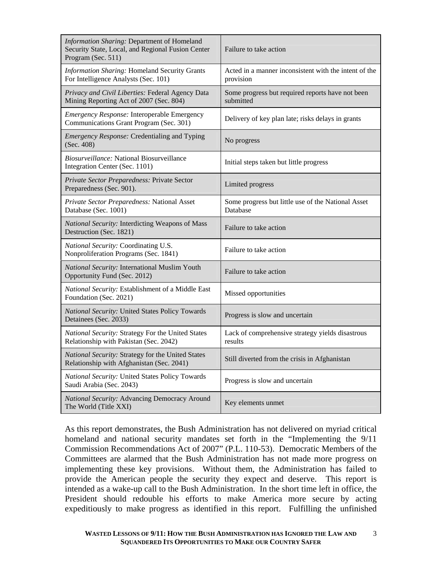| Information Sharing: Department of Homeland<br>Security State, Local, and Regional Fusion Center<br>Program (Sec. 511) | Failure to take action                                             |
|------------------------------------------------------------------------------------------------------------------------|--------------------------------------------------------------------|
| <b>Information Sharing: Homeland Security Grants</b><br>For Intelligence Analysts (Sec. 101)                           | Acted in a manner inconsistent with the intent of the<br>provision |
| Privacy and Civil Liberties: Federal Agency Data<br>Mining Reporting Act of 2007 (Sec. 804)                            | Some progress but required reports have not been<br>submitted      |
| <b>Emergency Response: Interoperable Emergency</b><br>Communications Grant Program (Sec. 301)                          | Delivery of key plan late; risks delays in grants                  |
| <b>Emergency Response: Credentialing and Typing</b><br>(Sec. 408)                                                      | No progress                                                        |
| <i>Biosurveillance:</i> National Biosurveillance<br>Integration Center (Sec. 1101)                                     | Initial steps taken but little progress                            |
| Private Sector Preparedness: Private Sector<br>Preparedness (Sec. 901).                                                | Limited progress                                                   |
| Private Sector Preparedness: National Asset<br>Database (Sec. 1001)                                                    | Some progress but little use of the National Asset<br>Database     |
| National Security: Interdicting Weapons of Mass<br>Destruction (Sec. 1821)                                             | Failure to take action                                             |
| National Security: Coordinating U.S.<br>Nonproliferation Programs (Sec. 1841)                                          | Failure to take action                                             |
| National Security: International Muslim Youth<br>Opportunity Fund (Sec. 2012)                                          | Failure to take action                                             |
| National Security: Establishment of a Middle East<br>Foundation (Sec. 2021)                                            | Missed opportunities                                               |
| National Security: United States Policy Towards<br>Detainees (Sec. 2033)                                               | Progress is slow and uncertain                                     |
| National Security: Strategy For the United States<br>Relationship with Pakistan (Sec. 2042)                            | Lack of comprehensive strategy yields disastrous<br>results        |
| National Security: Strategy for the United States<br>Relationship with Afghanistan (Sec. 2041)                         | Still diverted from the crisis in Afghanistan                      |
| National Security: United States Policy Towards<br>Saudi Arabia (Sec. 2043)                                            | Progress is slow and uncertain                                     |
| National Security: Advancing Democracy Around<br>The World (Title XXI)                                                 | Key elements unmet                                                 |

As this report demonstrates, the Bush Administration has not delivered on myriad critical homeland and national security mandates set forth in the "Implementing the 9/11 Commission Recommendations Act of 2007" (P.L. 110-53). Democratic Members of the Committees are alarmed that the Bush Administration has not made more progress on implementing these key provisions. Without them, the Administration has failed to provide the American people the security they expect and deserve. This report is intended as a wake-up call to the Bush Administration. In the short time left in office, the President should redouble his efforts to make America more secure by acting expeditiously to make progress as identified in this report. Fulfilling the unfinished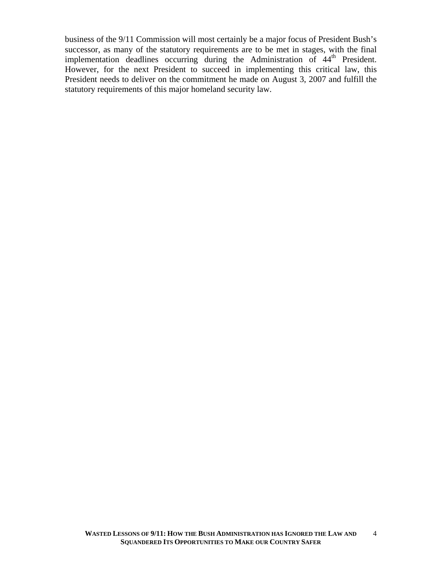business of the 9/11 Commission will most certainly be a major focus of President Bush's successor, as many of the statutory requirements are to be met in stages, with the final implementation deadlines occurring during the Administration of 44<sup>th</sup> President. However, for the next President to succeed in implementing this critical law, this President needs to deliver on the commitment he made on August 3, 2007 and fulfill the statutory requirements of this major homeland security law.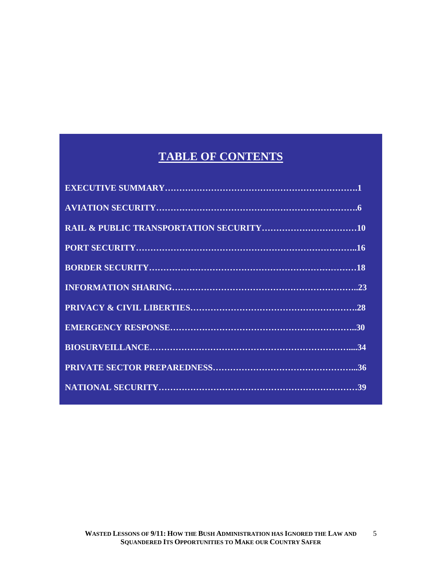## **TABLE OF CONTENTS**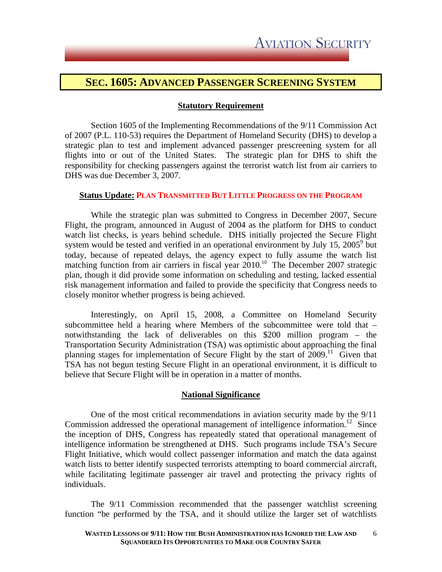### **SEC. 1605: ADVANCED PASSENGER SCREENING SYSTEM**

### **Statutory Requirement**

Section 1605 of the Implementing Recommendations of the 9/11 Commission Act of 2007 (P.L. 110-53) requires the Department of Homeland Security (DHS) to develop a strategic plan to test and implement advanced passenger prescreening system for all flights into or out of the United States. The strategic plan for DHS to shift the responsibility for checking passengers against the terrorist watch list from air carriers to DHS was due December 3, 2007.

### **Status Update: PLAN TRANSMITTED BUT LITTLE PROGRESS ON THE PROGRAM**

While the strategic plan was submitted to Congress in December 2007, Secure Flight, the program, announced in August of 2004 as the platform for DHS to conduct watch list checks, is years behind schedule. DHS initially projected the Secure Flight system would be tested and verified in an operational environment by July 15, 2005 $^9$  but today, because of repeated delays, the agency expect to fully assume the watch list matching function from air carriers in fiscal year 2010.<sup>10</sup> The December 2007 strategic plan, though it did provide some information on scheduling and testing, lacked essential risk management information and failed to provide the specificity that Congress needs to closely monitor whether progress is being achieved.

Interestingly, on April 15, 2008, a Committee on Homeland Security subcommittee held a hearing where Members of the subcommittee were told that – notwithstanding the lack of deliverables on this \$200 million program – the Transportation Security Administration (TSA) was optimistic about approaching the final planning stages for implementation of Secure Flight by the start of  $2009$ .<sup>11</sup> Given that TSA has not begun testing Secure Flight in an operational environment, it is difficult to believe that Secure Flight will be in operation in a matter of months.

### **National Significance**

One of the most critical recommendations in aviation security made by the 9/11 Commission addressed the operational management of intelligence information.<sup>12</sup> Since the inception of DHS, Congress has repeatedly stated that operational management of intelligence information be strengthened at DHS. Such programs include TSA's Secure Flight Initiative, which would collect passenger information and match the data against watch lists to better identify suspected terrorists attempting to board commercial aircraft, while facilitating legitimate passenger air travel and protecting the privacy rights of individuals.

The 9/11 Commission recommended that the passenger watchlist screening function "be performed by the TSA, and it should utilize the larger set of watchlists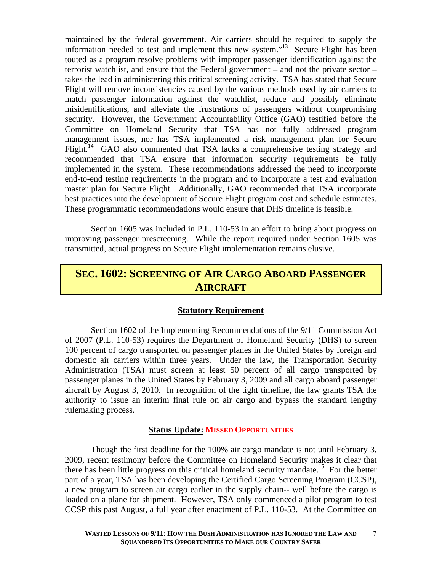maintained by the federal government. Air carriers should be required to supply the information needed to test and implement this new system."13Secure Flight has been touted as a program resolve problems with improper passenger identification against the terrorist watchlist, and ensure that the Federal government – and not the private sector – takes the lead in administering this critical screening activity. TSA has stated that Secure Flight will remove inconsistencies caused by the various methods used by air carriers to match passenger information against the watchlist, reduce and possibly eliminate misidentifications, and alleviate the frustrations of passengers without compromising security. However, the Government Accountability Office (GAO) testified before the Committee on Homeland Security that TSA has not fully addressed program management issues, nor has TSA implemented a risk management plan for Secure Flight.<sup>14</sup> GAO also commented that TSA lacks a comprehensive testing strategy and recommended that TSA ensure that information security requirements be fully implemented in the system. These recommendations addressed the need to incorporate end-to-end testing requirements in the program and to incorporate a test and evaluation master plan for Secure Flight. Additionally, GAO recommended that TSA incorporate best practices into the development of Secure Flight program cost and schedule estimates. These programmatic recommendations would ensure that DHS timeline is feasible.

 Section 1605 was included in P.L. 110-53 in an effort to bring about progress on improving passenger prescreening. While the report required under Section 1605 was transmitted, actual progress on Secure Flight implementation remains elusive.

### **SEC. 1602: SCREENING OF AIR CARGO ABOARD PASSENGER AIRCRAFT**

### **Statutory Requirement**

Section 1602 of the Implementing Recommendations of the 9/11 Commission Act of 2007 (P.L. 110-53) requires the Department of Homeland Security (DHS) to screen 100 percent of cargo transported on passenger planes in the United States by foreign and domestic air carriers within three years. Under the law, the Transportation Security Administration (TSA) must screen at least 50 percent of all cargo transported by passenger planes in the United States by February 3, 2009 and all cargo aboard passenger aircraft by August 3, 2010. In recognition of the tight timeline, the law grants TSA the authority to issue an interim final rule on air cargo and bypass the standard lengthy rulemaking process.

### **Status Update: MISSED OPPORTUNITIES**

 Though the first deadline for the 100% air cargo mandate is not until February 3, 2009, recent testimony before the Committee on Homeland Security makes it clear that there has been little progress on this critical homeland security mandate.<sup>15</sup> For the better part of a year, TSA has been developing the Certified Cargo Screening Program (CCSP), a new program to screen air cargo earlier in the supply chain-- well before the cargo is loaded on a plane for shipment. However, TSA only commenced a pilot program to test CCSP this past August, a full year after enactment of P.L. 110-53. At the Committee on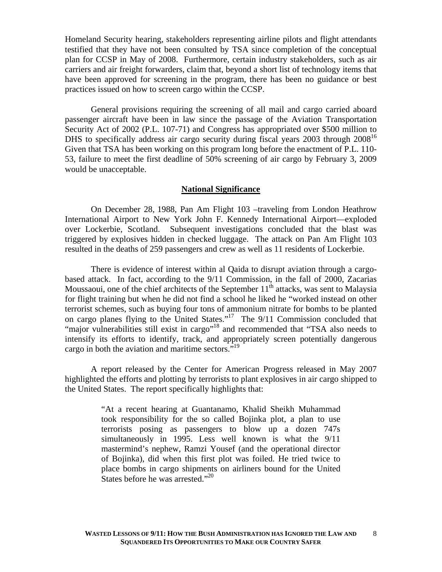Homeland Security hearing, stakeholders representing airline pilots and flight attendants testified that they have not been consulted by TSA since completion of the conceptual plan for CCSP in May of 2008. Furthermore, certain industry stakeholders, such as air carriers and air freight forwarders, claim that, beyond a short list of technology items that have been approved for screening in the program, there has been no guidance or best practices issued on how to screen cargo within the CCSP.

 General provisions requiring the screening of all mail and cargo carried aboard passenger aircraft have been in law since the passage of the Aviation Transportation Security Act of 2002 (P.L. 107-71) and Congress has appropriated over \$500 million to DHS to specifically address air cargo security during fiscal years 2003 through  $2008^{16}$ Given that TSA has been working on this program long before the enactment of P.L. 110- 53, failure to meet the first deadline of 50% screening of air cargo by February 3, 2009 would be unacceptable.

#### **National Significance**

On December 28, 1988, Pan Am Flight 103 –traveling from London Heathrow International Airport to New York John F. Kennedy International Airport—exploded over Lockerbie, Scotland. Subsequent investigations concluded that the blast was triggered by explosives hidden in checked luggage. The attack on Pan Am Flight 103 resulted in the deaths of 259 passengers and crew as well as 11 residents of Lockerbie.

There is evidence of interest within al Qaida to disrupt aviation through a cargobased attack. In fact, according to the 9/11 Commission, in the fall of 2000, Zacarias Moussaoui, one of the chief architects of the September  $11<sup>th</sup>$  attacks, was sent to Malaysia for flight training but when he did not find a school he liked he "worked instead on other terrorist schemes, such as buying four tons of ammonium nitrate for bombs to be planted on cargo planes flying to the United States."17 The 9/11 Commission concluded that "major vulnerabilities still exist in cargo"18 and recommended that "TSA also needs to intensify its efforts to identify, track, and appropriately screen potentially dangerous cargo in both the aviation and maritime sectors."<sup>19</sup>

A report released by the Center for American Progress released in May 2007 highlighted the efforts and plotting by terrorists to plant explosives in air cargo shipped to the United States. The report specifically highlights that:

> "At a recent hearing at Guantanamo, Khalid Sheikh Muhammad took responsibility for the so called Bojinka plot, a plan to use terrorists posing as passengers to blow up a dozen 747s simultaneously in 1995. Less well known is what the 9/11 mastermind's nephew, Ramzi Yousef (and the operational director of Bojinka), did when this first plot was foiled. He tried twice to place bombs in cargo shipments on airliners bound for the United States before he was arrested."<sup>20</sup>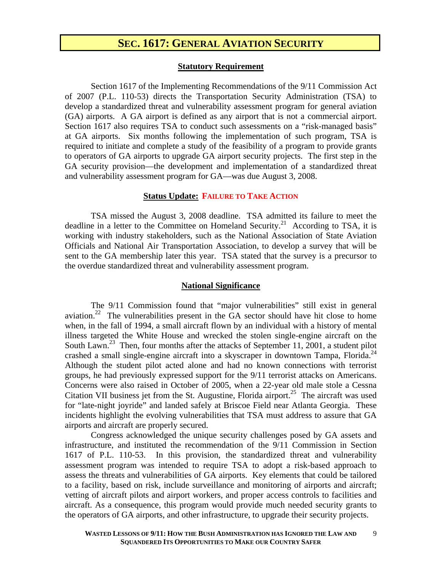### **SEC. 1617: GENERAL AVIATION SECURITY**

#### **Statutory Requirement**

Section 1617 of the Implementing Recommendations of the 9/11 Commission Act of 2007 (P.L. 110-53) directs the Transportation Security Administration (TSA) to develop a standardized threat and vulnerability assessment program for general aviation (GA) airports. A GA airport is defined as any airport that is not a commercial airport. Section 1617 also requires TSA to conduct such assessments on a "risk-managed basis" at GA airports. Six months following the implementation of such program, TSA is required to initiate and complete a study of the feasibility of a program to provide grants to operators of GA airports to upgrade GA airport security projects. The first step in the GA security provision—the development and implementation of a standardized threat and vulnerability assessment program for GA—was due August 3, 2008.

### **Status Update: FAILURE TO TAKE ACTION**

TSA missed the August 3, 2008 deadline. TSA admitted its failure to meet the deadline in a letter to the Committee on Homeland Security.<sup>21</sup> According to TSA, it is working with industry stakeholders, such as the National Association of State Aviation Officials and National Air Transportation Association, to develop a survey that will be sent to the GA membership later this year. TSA stated that the survey is a precursor to the overdue standardized threat and vulnerability assessment program.

### **National Significance**

The 9/11 Commission found that "major vulnerabilities" still exist in general aviation.<sup>22</sup> The vulnerabilities present in the  $\tilde{G}A$  sector should have hit close to home when, in the fall of 1994, a small aircraft flown by an individual with a history of mental illness targeted the White House and wrecked the stolen single-engine aircraft on the South Lawn.<sup>23</sup> Then, four months after the attacks of September 11, 2001, a student pilot crashed a small single-engine aircraft into a skyscraper in downtown Tampa, Florida.<sup>24</sup> Although the student pilot acted alone and had no known connections with terrorist groups, he had previously expressed support for the 9/11 terrorist attacks on Americans. Concerns were also raised in October of 2005, when a 22-year old male stole a Cessna Citation VII business jet from the St. Augustine, Florida airport.<sup>25</sup> The aircraft was used for "late-night joyride" and landed safely at Briscoe Field near Atlanta Georgia. These incidents highlight the evolving vulnerabilities that TSA must address to assure that GA airports and aircraft are properly secured.

Congress acknowledged the unique security challenges posed by GA assets and infrastructure, and instituted the recommendation of the 9/11 Commission in Section 1617 of P.L. 110-53. In this provision, the standardized threat and vulnerability assessment program was intended to require TSA to adopt a risk-based approach to assess the threats and vulnerabilities of GA airports. Key elements that could be tailored to a facility, based on risk, include surveillance and monitoring of airports and aircraft; vetting of aircraft pilots and airport workers, and proper access controls to facilities and aircraft. As a consequence, this program would provide much needed security grants to the operators of GA airports, and other infrastructure, to upgrade their security projects.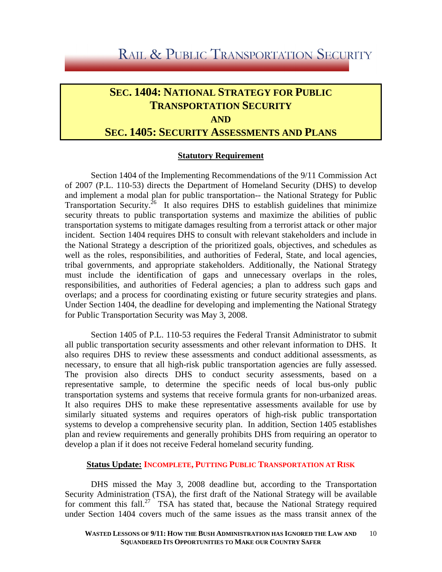# RAIL & PUBLIC TRANSPORTATION SECURITY

### **SEC. 1404: NATIONAL STRATEGY FOR PUBLIC TRANSPORTATION SECURITY AND**

### **SEC. 1405: SECURITY ASSESSMENTS AND PLANS**

### **Statutory Requirement**

Section 1404 of the Implementing Recommendations of the 9/11 Commission Act of 2007 (P.L. 110-53) directs the Department of Homeland Security (DHS) to develop and implement a modal plan for public transportation-- the National Strategy for Public Transportation Security.<sup>26</sup> It also requires DHS to establish guidelines that minimize security threats to public transportation systems and maximize the abilities of public transportation systems to mitigate damages resulting from a terrorist attack or other major incident. Section 1404 requires DHS to consult with relevant stakeholders and include in the National Strategy a description of the prioritized goals, objectives, and schedules as well as the roles, responsibilities, and authorities of Federal, State, and local agencies, tribal governments, and appropriate stakeholders. Additionally, the National Strategy must include the identification of gaps and unnecessary overlaps in the roles, responsibilities, and authorities of Federal agencies; a plan to address such gaps and overlaps; and a process for coordinating existing or future security strategies and plans. Under Section 1404, the deadline for developing and implementing the National Strategy for Public Transportation Security was May 3, 2008.

Section 1405 of P.L. 110-53 requires the Federal Transit Administrator to submit all public transportation security assessments and other relevant information to DHS. It also requires DHS to review these assessments and conduct additional assessments, as necessary, to ensure that all high-risk public transportation agencies are fully assessed. The provision also directs DHS to conduct security assessments, based on a representative sample, to determine the specific needs of local bus-only public transportation systems and systems that receive formula grants for non-urbanized areas. It also requires DHS to make these representative assessments available for use by similarly situated systems and requires operators of high-risk public transportation systems to develop a comprehensive security plan. In addition, Section 1405 establishes plan and review requirements and generally prohibits DHS from requiring an operator to develop a plan if it does not receive Federal homeland security funding.

### **Status Update: INCOMPLETE, PUTTING PUBLIC TRANSPORTATION AT RISK**

DHS missed the May 3, 2008 deadline but, according to the Transportation Security Administration (TSA), the first draft of the National Strategy will be available for comment this fall.<sup>27</sup> TSA has stated that, because the National Strategy required under Section 1404 covers much of the same issues as the mass transit annex of the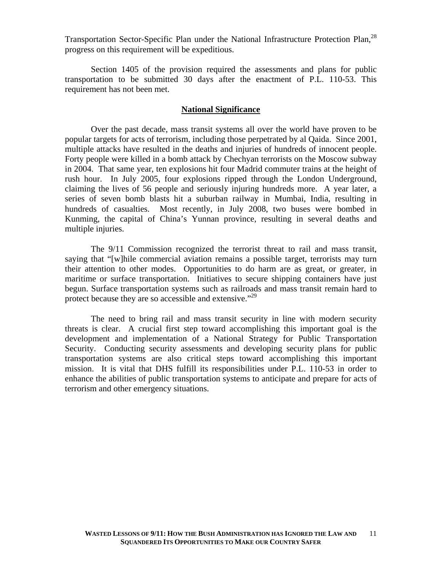Transportation Sector-Specific Plan under the National Infrastructure Protection Plan,<sup>28</sup> progress on this requirement will be expeditious.

Section 1405 of the provision required the assessments and plans for public transportation to be submitted 30 days after the enactment of P.L. 110-53. This requirement has not been met.

### **National Significance**

Over the past decade, mass transit systems all over the world have proven to be popular targets for acts of terrorism, including those perpetrated by al Qaida. Since 2001, multiple attacks have resulted in the deaths and injuries of hundreds of innocent people. Forty people were killed in a bomb attack by Chechyan terrorists on the Moscow subway in 2004. That same year, ten explosions hit four Madrid commuter trains at the height of rush hour. In July 2005, four explosions ripped through the London Underground, claiming the lives of 56 people and seriously injuring hundreds more. A year later, a series of seven bomb blasts hit a suburban railway in Mumbai, India, resulting in hundreds of casualties. Most recently, in July 2008, two buses were bombed in Kunming, the capital of China's Yunnan province, resulting in several deaths and multiple injuries.

 The 9/11 Commission recognized the terrorist threat to rail and mass transit, saying that "[w]hile commercial aviation remains a possible target, terrorists may turn their attention to other modes. Opportunities to do harm are as great, or greater, in maritime or surface transportation. Initiatives to secure shipping containers have just begun. Surface transportation systems such as railroads and mass transit remain hard to protect because they are so accessible and extensive."<sup>29</sup>

The need to bring rail and mass transit security in line with modern security threats is clear. A crucial first step toward accomplishing this important goal is the development and implementation of a National Strategy for Public Transportation Security. Conducting security assessments and developing security plans for public transportation systems are also critical steps toward accomplishing this important mission. It is vital that DHS fulfill its responsibilities under P.L. 110-53 in order to enhance the abilities of public transportation systems to anticipate and prepare for acts of terrorism and other emergency situations.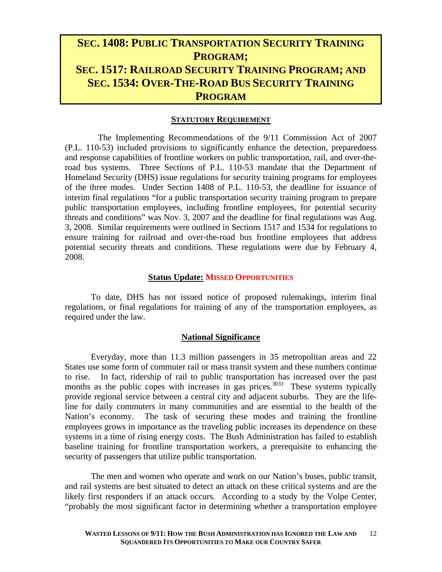### **SEC. 1408: PUBLIC TRANSPORTATION SECURITY TRAINING PROGRAM; SEC. 1517: RAILROAD SECURITY TRAINING PROGRAM; AND SEC. 1534: OVER-THE-ROAD BUS SECURITY TRAINING PROGRAM**

#### **STATUTORY REQUIREMENT**

 The Implementing Recommendations of the 9/11 Commission Act of 2007 (P.L. 110-53) included provisions to significantly enhance the detection, preparedness and response capabilities of frontline workers on public transportation, rail, and over-theroad bus systems. Three Sections of P.L. 110-53 mandate that the Department of Homeland Security (DHS) issue regulations for security training programs for employees of the three modes. Under Section 1408 of P.L. 110-53, the deadline for issuance of interim final regulations "for a public transportation security training program to prepare public transportation employees, including frontline employees, for potential security threats and conditions" was Nov. 3, 2007 and the deadline for final regulations was Aug. 3, 2008. Similar requirements were outlined in Sections 1517 and 1534 for regulations to ensure training for railroad and over-the-road bus frontline employees that address potential security threats and conditions. These regulations were due by February 4, 2008.

#### **Status Update: MISSED OPPORTUNITIES**

To date, DHS has not issued notice of proposed rulemakings, interim final regulations, or final regulations for training of any of the transportation employees, as required under the law.

#### **National Significance**

Everyday, more than 11.3 million passengers in 35 metropolitan areas and 22 States use some form of commuter rail or mass transit system and these numbers continue to rise. In fact, ridership of rail to public transportation has increased over the past months as the public copes with increases in gas prices.<sup>3031</sup> These systems typically provide regional service between a central city and adjacent suburbs. They are the lifeline for daily commuters in many communities and are essential to the health of the Nation's economy. The task of securing these modes and training the frontline employees grows in importance as the traveling public increases its dependence on these systems in a time of rising energy costs. The Bush Administration has failed to establish baseline training for frontline transportation workers, a prerequisite to enhancing the security of passengers that utilize public transportation.

The men and women who operate and work on our Nation's buses, public transit, and rail systems are best situated to detect an attack on these critical systems and are the likely first responders if an attack occurs. According to a study by the Volpe Center, "probably the most significant factor in determining whether a transportation employee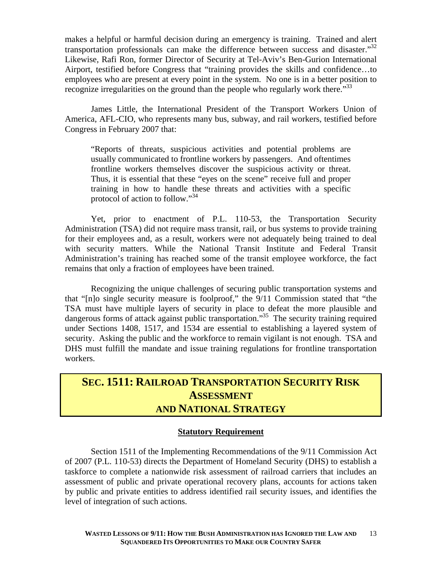makes a helpful or harmful decision during an emergency is training. Trained and alert transportation professionals can make the difference between success and disaster."<sup>32</sup> Likewise, Rafi Ron, former Director of Security at Tel-Aviv's Ben-Gurion International Airport, testified before Congress that "training provides the skills and confidence…to employees who are present at every point in the system. No one is in a better position to recognize irregularities on the ground than the people who regularly work there.<sup>33</sup>

James Little, the International President of the Transport Workers Union of America, AFL-CIO, who represents many bus, subway, and rail workers, testified before Congress in February 2007 that:

"Reports of threats, suspicious activities and potential problems are usually communicated to frontline workers by passengers. And oftentimes frontline workers themselves discover the suspicious activity or threat. Thus, it is essential that these "eyes on the scene" receive full and proper training in how to handle these threats and activities with a specific protocol of action to follow."34

Yet, prior to enactment of P.L. 110-53, the Transportation Security Administration (TSA) did not require mass transit, rail, or bus systems to provide training for their employees and, as a result, workers were not adequately being trained to deal with security matters. While the National Transit Institute and Federal Transit Administration's training has reached some of the transit employee workforce, the fact remains that only a fraction of employees have been trained.

Recognizing the unique challenges of securing public transportation systems and that "[n]o single security measure is foolproof," the 9/11 Commission stated that "the TSA must have multiple layers of security in place to defeat the more plausible and dangerous forms of attack against public transportation.<sup>35</sup> The security training required under Sections 1408, 1517, and 1534 are essential to establishing a layered system of security. Asking the public and the workforce to remain vigilant is not enough. TSA and DHS must fulfill the mandate and issue training regulations for frontline transportation workers.

### **SEC. 1511: RAILROAD TRANSPORTATION SECURITY RISK ASSESSMENT AND NATIONAL STRATEGY**

### **Statutory Requirement**

Section 1511 of the Implementing Recommendations of the 9/11 Commission Act of 2007 (P.L. 110-53) directs the Department of Homeland Security (DHS) to establish a taskforce to complete a nationwide risk assessment of railroad carriers that includes an assessment of public and private operational recovery plans, accounts for actions taken by public and private entities to address identified rail security issues, and identifies the level of integration of such actions.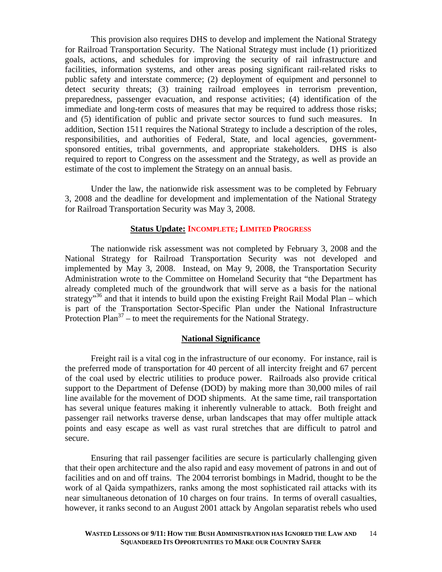This provision also requires DHS to develop and implement the National Strategy for Railroad Transportation Security. The National Strategy must include (1) prioritized goals, actions, and schedules for improving the security of rail infrastructure and facilities, information systems, and other areas posing significant rail-related risks to public safety and interstate commerce; (2) deployment of equipment and personnel to detect security threats; (3) training railroad employees in terrorism prevention, preparedness, passenger evacuation, and response activities; (4) identification of the immediate and long-term costs of measures that may be required to address those risks; and (5) identification of public and private sector sources to fund such measures. In addition, Section 1511 requires the National Strategy to include a description of the roles, responsibilities, and authorities of Federal, State, and local agencies, governmentsponsored entities, tribal governments, and appropriate stakeholders. DHS is also required to report to Congress on the assessment and the Strategy, as well as provide an estimate of the cost to implement the Strategy on an annual basis.

 Under the law, the nationwide risk assessment was to be completed by February 3, 2008 and the deadline for development and implementation of the National Strategy for Railroad Transportation Security was May 3, 2008.

### **Status Update: INCOMPLETE; LIMITED PROGRESS**

The nationwide risk assessment was not completed by February 3, 2008 and the National Strategy for Railroad Transportation Security was not developed and implemented by May 3, 2008. Instead, on May 9, 2008, the Transportation Security Administration wrote to the Committee on Homeland Security that "the Department has already completed much of the groundwork that will serve as a basis for the national strategy<sup>36</sup> and that it intends to build upon the existing Freight Rail Modal Plan – which is part of the Transportation Sector-Specific Plan under the National Infrastructure Protection Plan<sup>37</sup> – to meet the requirements for the National Strategy.

#### **National Significance**

 Freight rail is a vital cog in the infrastructure of our economy. For instance, rail is the preferred mode of transportation for 40 percent of all intercity freight and 67 percent of the coal used by electric utilities to produce power. Railroads also provide critical support to the Department of Defense (DOD) by making more than 30,000 miles of rail line available for the movement of DOD shipments. At the same time, rail transportation has several unique features making it inherently vulnerable to attack. Both freight and passenger rail networks traverse dense, urban landscapes that may offer multiple attack points and easy escape as well as vast rural stretches that are difficult to patrol and secure.

Ensuring that rail passenger facilities are secure is particularly challenging given that their open architecture and the also rapid and easy movement of patrons in and out of facilities and on and off trains. The 2004 terrorist bombings in Madrid, thought to be the work of al Qaida sympathizers, ranks among the most sophisticated rail attacks with its near simultaneous detonation of 10 charges on four trains. In terms of overall casualties, however, it ranks second to an August 2001 attack by Angolan separatist rebels who used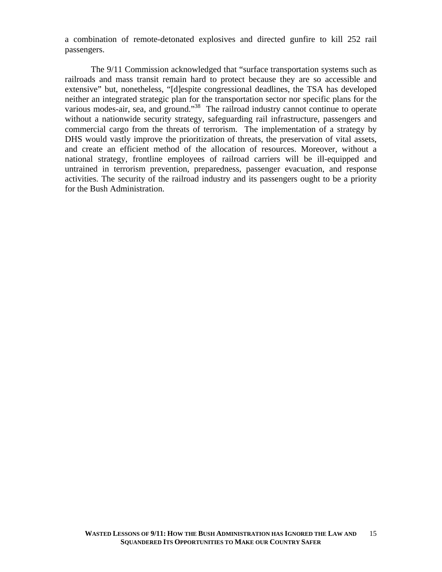a combination of remote-detonated explosives and directed gunfire to kill 252 rail passengers.

The 9/11 Commission acknowledged that "surface transportation systems such as railroads and mass transit remain hard to protect because they are so accessible and extensive" but, nonetheless, "[d]espite congressional deadlines, the TSA has developed neither an integrated strategic plan for the transportation sector nor specific plans for the various modes-air, sea, and ground."<sup>38</sup> The railroad industry cannot continue to operate without a nationwide security strategy, safeguarding rail infrastructure, passengers and commercial cargo from the threats of terrorism. The implementation of a strategy by DHS would vastly improve the prioritization of threats, the preservation of vital assets, and create an efficient method of the allocation of resources. Moreover, without a national strategy, frontline employees of railroad carriers will be ill-equipped and untrained in terrorism prevention, preparedness, passenger evacuation, and response activities. The security of the railroad industry and its passengers ought to be a priority for the Bush Administration.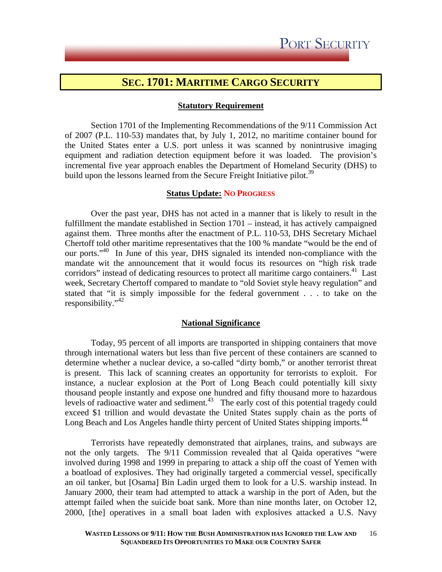### **SEC. 1701: MARITIME CARGO SECURITY**

### **Statutory Requirement**

 Section 1701 of the Implementing Recommendations of the 9/11 Commission Act of 2007 (P.L. 110-53) mandates that, by July 1, 2012, no maritime container bound for the United States enter a U.S. port unless it was scanned by nonintrusive imaging equipment and radiation detection equipment before it was loaded. The provision's incremental five year approach enables the Department of Homeland Security (DHS) to build upon the lessons learned from the Secure Freight Initiative pilot.<sup>39</sup>

#### **Status Update: NO PROGRESS**

Over the past year, DHS has not acted in a manner that is likely to result in the fulfillment the mandate established in Section 1701 – instead, it has actively campaigned against them. Three months after the enactment of P.L. 110-53, DHS Secretary Michael Chertoff told other maritime representatives that the 100 % mandate "would be the end of our ports."<sup>40</sup> In June of this year, DHS signaled its intended non-compliance with the mandate wit the announcement that it would focus its resources on "high risk trade corridors" instead of dedicating resources to protect all maritime cargo containers.<sup>41</sup> Last week, Secretary Chertoff compared to mandate to "old Soviet style heavy regulation" and stated that "it is simply impossible for the federal government . . . to take on the responsibility."42

#### **National Significance**

 Today, 95 percent of all imports are transported in shipping containers that move through international waters but less than five percent of these containers are scanned to determine whether a nuclear device, a so-called "dirty bomb," or another terrorist threat is present. This lack of scanning creates an opportunity for terrorists to exploit. For instance, a nuclear explosion at the Port of Long Beach could potentially kill sixty thousand people instantly and expose one hundred and fifty thousand more to hazardous levels of radioactive water and sediment. $43$  The early cost of this potential tragedy could exceed \$1 trillion and would devastate the United States supply chain as the ports of Long Beach and Los Angeles handle thirty percent of United States shipping imports.<sup>44</sup>

 Terrorists have repeatedly demonstrated that airplanes, trains, and subways are not the only targets. The 9/11 Commission revealed that al Qaida operatives "were involved during 1998 and 1999 in preparing to attack a ship off the coast of Yemen with a boatload of explosives. They had originally targeted a commercial vessel, specifically an oil tanker, but [Osama] Bin Ladin urged them to look for a U.S. warship instead. In January 2000, their team had attempted to attack a warship in the port of Aden, but the attempt failed when the suicide boat sank. More than nine months later, on October 12, 2000, [the] operatives in a small boat laden with explosives attacked a U.S. Navy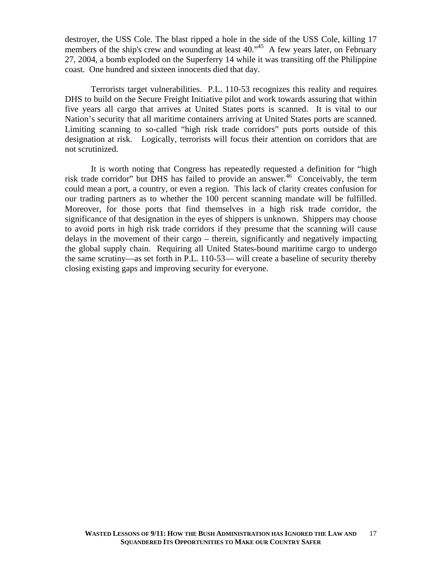destroyer, the USS Cole*.* The blast ripped a hole in the side of the USS Cole*,* killing 17 members of the ship's crew and wounding at least 40.<sup>45</sup> A few years later, on February 27, 2004, a bomb exploded on the Superferry 14 while it was transiting off the Philippine coast. One hundred and sixteen innocents died that day.

Terrorists target vulnerabilities. P.L. 110-53 recognizes this reality and requires DHS to build on the Secure Freight Initiative pilot and work towards assuring that within five years all cargo that arrives at United States ports is scanned. It is vital to our Nation's security that all maritime containers arriving at United States ports are scanned. Limiting scanning to so-called "high risk trade corridors" puts ports outside of this designation at risk. Logically, terrorists will focus their attention on corridors that are not scrutinized.

It is worth noting that Congress has repeatedly requested a definition for "high risk trade corridor" but DHS has failed to provide an answer.<sup>46</sup> Conceivably, the term could mean a port, a country, or even a region. This lack of clarity creates confusion for our trading partners as to whether the 100 percent scanning mandate will be fulfilled. Moreover, for those ports that find themselves in a high risk trade corridor, the significance of that designation in the eyes of shippers is unknown. Shippers may choose to avoid ports in high risk trade corridors if they presume that the scanning will cause delays in the movement of their cargo – therein, significantly and negatively impacting the global supply chain. Requiring all United States-bound maritime cargo to undergo the same scrutiny—as set forth in P.L. 110-53— will create a baseline of security thereby closing existing gaps and improving security for everyone.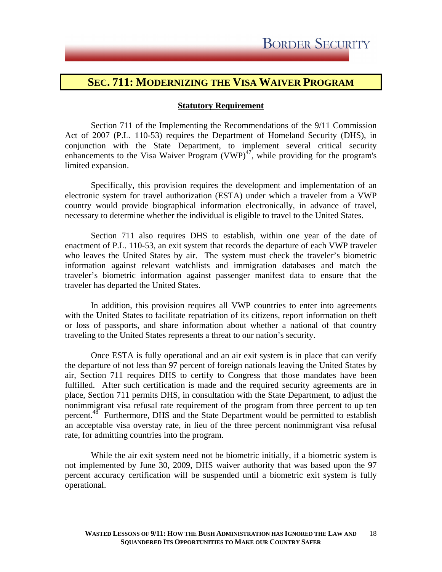### **SEC. 711: MODERNIZING THE VISA WAIVER PROGRAM**

#### **Statutory Requirement**

Section 711 of the Implementing the Recommendations of the 9/11 Commission Act of 2007 (P.L. 110-53) requires the Department of Homeland Security (DHS), in conjunction with the State Department, to implement several critical security enhancements to the Visa Waiver Program  $(VWP)^{47}$ , while providing for the program's limited expansion.

Specifically, this provision requires the development and implementation of an electronic system for travel authorization (ESTA) under which a traveler from a VWP country would provide biographical information electronically, in advance of travel, necessary to determine whether the individual is eligible to travel to the United States.

Section 711 also requires DHS to establish, within one year of the date of enactment of P.L. 110-53, an exit system that records the departure of each VWP traveler who leaves the United States by air. The system must check the traveler's biometric information against relevant watchlists and immigration databases and match the traveler's biometric information against passenger manifest data to ensure that the traveler has departed the United States.

In addition, this provision requires all VWP countries to enter into agreements with the United States to facilitate repatriation of its citizens, report information on theft or loss of passports, and share information about whether a national of that country traveling to the United States represents a threat to our nation's security.

Once ESTA is fully operational and an air exit system is in place that can verify the departure of not less than 97 percent of foreign nationals leaving the United States by air, Section 711 requires DHS to certify to Congress that those mandates have been fulfilled. After such certification is made and the required security agreements are in place, Section 711 permits DHS, in consultation with the State Department, to adjust the nonimmigrant visa refusal rate requirement of the program from three percent to up ten percent.<sup>48</sup> Furthermore, DHS and the State Department would be permitted to establish an acceptable visa overstay rate, in lieu of the three percent nonimmigrant visa refusal rate, for admitting countries into the program.

While the air exit system need not be biometric initially, if a biometric system is not implemented by June 30, 2009, DHS waiver authority that was based upon the 97 percent accuracy certification will be suspended until a biometric exit system is fully operational.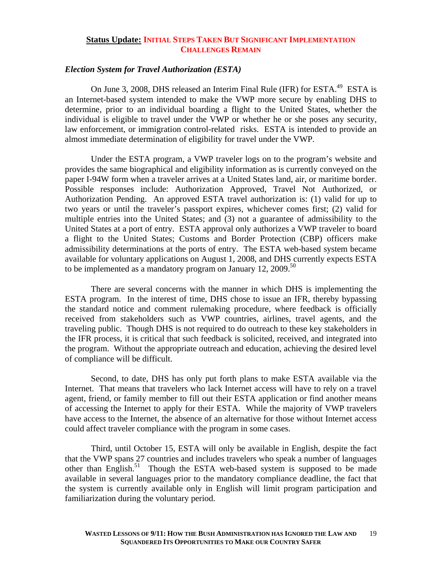### **Status Update: INITIAL STEPS TAKEN BUT SIGNIFICANT IMPLEMENTATION CHALLENGES REMAIN**

### *Election System for Travel Authorization (ESTA)*

On June 3, 2008, DHS released an Interim Final Rule (IFR) for ESTA.<sup>49</sup> ESTA is an Internet-based system intended to make the VWP more secure by enabling DHS to determine, prior to an individual boarding a flight to the United States, whether the individual is eligible to travel under the VWP or whether he or she poses any security, law enforcement, or immigration control-related risks. ESTA is intended to provide an almost immediate determination of eligibility for travel under the VWP.

Under the ESTA program, a VWP traveler logs on to the program's website and provides the same biographical and eligibility information as is currently conveyed on the paper I-94W form when a traveler arrives at a United States land, air, or maritime border. Possible responses include: Authorization Approved, Travel Not Authorized, or Authorization Pending. An approved ESTA travel authorization is: (1) valid for up to two years or until the traveler's passport expires, whichever comes first; (2) valid for multiple entries into the United States; and (3) not a guarantee of admissibility to the United States at a port of entry. ESTA approval only authorizes a VWP traveler to board a flight to the United States; Customs and Border Protection (CBP) officers make admissibility determinations at the ports of entry. The ESTA web-based system became available for voluntary applications on August 1, 2008, and DHS currently expects ESTA to be implemented as a mandatory program on January 12, 2009.<sup>50</sup>

 There are several concerns with the manner in which DHS is implementing the ESTA program. In the interest of time, DHS chose to issue an IFR, thereby bypassing the standard notice and comment rulemaking procedure, where feedback is officially received from stakeholders such as VWP countries, airlines, travel agents, and the traveling public. Though DHS is not required to do outreach to these key stakeholders in the IFR process, it is critical that such feedback is solicited, received, and integrated into the program. Without the appropriate outreach and education, achieving the desired level of compliance will be difficult.

 Second, to date, DHS has only put forth plans to make ESTA available via the Internet. That means that travelers who lack Internet access will have to rely on a travel agent, friend, or family member to fill out their ESTA application or find another means of accessing the Internet to apply for their ESTA. While the majority of VWP travelers have access to the Internet, the absence of an alternative for those without Internet access could affect traveler compliance with the program in some cases.

Third, until October 15, ESTA will only be available in English, despite the fact that the VWP spans 27 countries and includes travelers who speak a number of languages other than English.<sup>51</sup> Though the ESTA web-based system is supposed to be made available in several languages prior to the mandatory compliance deadline, the fact that the system is currently available only in English will limit program participation and familiarization during the voluntary period.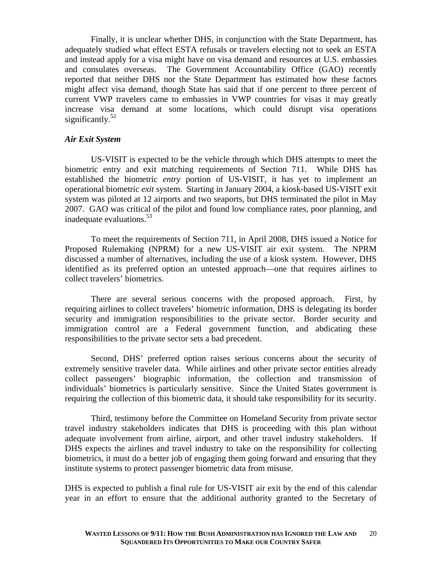Finally, it is unclear whether DHS, in conjunction with the State Department, has adequately studied what effect ESTA refusals or travelers electing not to seek an ESTA and instead apply for a visa might have on visa demand and resources at U.S. embassies and consulates overseas. The Government Accountability Office (GAO) recently reported that neither DHS nor the State Department has estimated how these factors might affect visa demand, though State has said that if one percent to three percent of current VWP travelers came to embassies in VWP countries for visas it may greatly increase visa demand at some locations, which could disrupt visa operations significantly.<sup>52</sup>

### *Air Exit System*

 US-VISIT is expected to be the vehicle through which DHS attempts to meet the biometric entry and exit matching requirements of Section 711. While DHS has established the biometric *entry* portion of US-VISIT, it has yet to implement an operational biometric *exit* system. Starting in January 2004, a kiosk-based US-VISIT exit system was piloted at 12 airports and two seaports, but DHS terminated the pilot in May 2007. GAO was critical of the pilot and found low compliance rates, poor planning, and inadequate evaluations.53

 To meet the requirements of Section 711, in April 2008, DHS issued a Notice for Proposed Rulemaking (NPRM) for a new US-VISIT air exit system. The NPRM discussed a number of alternatives, including the use of a kiosk system. However, DHS identified as its preferred option an untested approach—one that requires airlines to collect travelers' biometrics.

There are several serious concerns with the proposed approach. First, by requiring airlines to collect travelers' biometric information, DHS is delegating its border security and immigration responsibilities to the private sector. Border security and immigration control are a Federal government function, and abdicating these responsibilities to the private sector sets a bad precedent.

Second, DHS' preferred option raises serious concerns about the security of extremely sensitive traveler data. While airlines and other private sector entities already collect passengers' biographic information, the collection and transmission of individuals' biometrics is particularly sensitive. Since the United States government is requiring the collection of this biometric data, it should take responsibility for its security.

Third, testimony before the Committee on Homeland Security from private sector travel industry stakeholders indicates that DHS is proceeding with this plan without adequate involvement from airline, airport, and other travel industry stakeholders. If DHS expects the airlines and travel industry to take on the responsibility for collecting biometrics, it must do a better job of engaging them going forward and ensuring that they institute systems to protect passenger biometric data from misuse.

DHS is expected to publish a final rule for US-VISIT air exit by the end of this calendar year in an effort to ensure that the additional authority granted to the Secretary of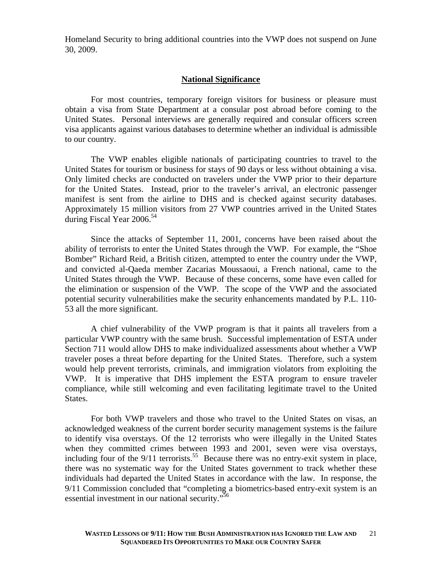Homeland Security to bring additional countries into the VWP does not suspend on June 30, 2009.

### **National Significance**

For most countries, temporary foreign visitors for business or pleasure must obtain a visa from State Department at a consular post abroad before coming to the United States. Personal interviews are generally required and consular officers screen visa applicants against various databases to determine whether an individual is admissible to our country.

The VWP enables eligible nationals of participating countries to travel to the United States for tourism or business for stays of 90 days or less without obtaining a visa. Only limited checks are conducted on travelers under the VWP prior to their departure for the United States. Instead, prior to the traveler's arrival, an electronic passenger manifest is sent from the airline to DHS and is checked against security databases. Approximately 15 million visitors from 27 VWP countries arrived in the United States during Fiscal Year  $2006^{54}$ 

Since the attacks of September 11, 2001, concerns have been raised about the ability of terrorists to enter the United States through the VWP. For example, the "Shoe Bomber" Richard Reid, a British citizen, attempted to enter the country under the VWP, and convicted al-Qaeda member Zacarias Moussaoui, a French national, came to the United States through the VWP. Because of these concerns, some have even called for the elimination or suspension of the VWP. The scope of the VWP and the associated potential security vulnerabilities make the security enhancements mandated by P.L. 110- 53 all the more significant.

A chief vulnerability of the VWP program is that it paints all travelers from a particular VWP country with the same brush. Successful implementation of ESTA under Section 711 would allow DHS to make individualized assessments about whether a VWP traveler poses a threat before departing for the United States. Therefore, such a system would help prevent terrorists, criminals, and immigration violators from exploiting the VWP. It is imperative that DHS implement the ESTA program to ensure traveler compliance, while still welcoming and even facilitating legitimate travel to the United States.

For both VWP travelers and those who travel to the United States on visas, an acknowledged weakness of the current border security management systems is the failure to identify visa overstays. Of the 12 terrorists who were illegally in the United States when they committed crimes between 1993 and 2001, seven were visa overstays, including four of the  $9/11$  terrorists.<sup>55</sup> Because there was no entry-exit system in place, there was no systematic way for the United States government to track whether these individuals had departed the United States in accordance with the law. In response, the 9/11 Commission concluded that "completing a biometrics-based entry-exit system is an essential investment in our national security."56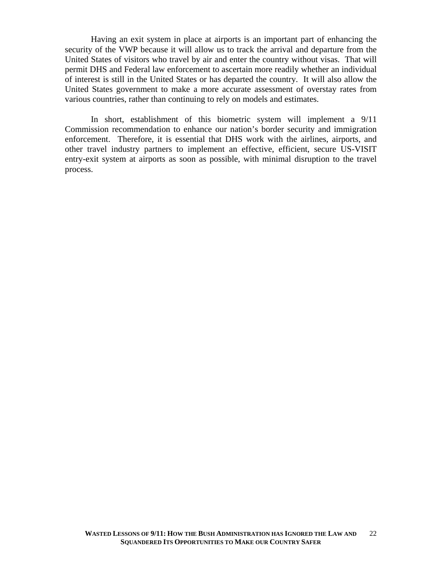Having an exit system in place at airports is an important part of enhancing the security of the VWP because it will allow us to track the arrival and departure from the United States of visitors who travel by air and enter the country without visas. That will permit DHS and Federal law enforcement to ascertain more readily whether an individual of interest is still in the United States or has departed the country. It will also allow the United States government to make a more accurate assessment of overstay rates from various countries, rather than continuing to rely on models and estimates.

In short, establishment of this biometric system will implement a 9/11 Commission recommendation to enhance our nation's border security and immigration enforcement. Therefore, it is essential that DHS work with the airlines, airports, and other travel industry partners to implement an effective, efficient, secure US-VISIT entry-exit system at airports as soon as possible, with minimal disruption to the travel process.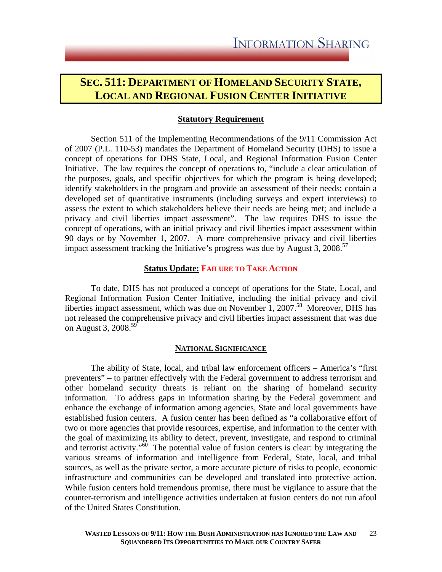### **SEC. 511: DEPARTMENT OF HOMELAND SECURITY STATE, LOCAL AND REGIONAL FUSION CENTER INITIATIVE**

### **Statutory Requirement**

Section 511 of the Implementing Recommendations of the 9/11 Commission Act of 2007 (P.L. 110-53) mandates the Department of Homeland Security (DHS) to issue a concept of operations for DHS State, Local, and Regional Information Fusion Center Initiative. The law requires the concept of operations to, "include a clear articulation of the purposes, goals, and specific objectives for which the program is being developed; identify stakeholders in the program and provide an assessment of their needs; contain a developed set of quantitative instruments (including surveys and expert interviews) to assess the extent to which stakeholders believe their needs are being met; and include a privacy and civil liberties impact assessment". The law requires DHS to issue the concept of operations, with an initial privacy and civil liberties impact assessment within 90 days or by November 1, 2007. A more comprehensive privacy and civil liberties impact assessment tracking the Initiative's progress was due by August 3,  $2008$ <sup>57</sup>

### **Status Update: FAILURE TO TAKE ACTION**

To date, DHS has not produced a concept of operations for the State, Local, and Regional Information Fusion Center Initiative, including the initial privacy and civil liberties impact assessment, which was due on November 1, 2007.<sup>58</sup> Moreover, DHS has not released the comprehensive privacy and civil liberties impact assessment that was due on August 3, 2008.<sup>59</sup>

#### **NATIONAL SIGNIFICANCE**

The ability of State, local, and tribal law enforcement officers – America's "first preventers" – to partner effectively with the Federal government to address terrorism and other homeland security threats is reliant on the sharing of homeland security information. To address gaps in information sharing by the Federal government and enhance the exchange of information among agencies, State and local governments have established fusion centers. A fusion center has been defined as "a collaborative effort of two or more agencies that provide resources, expertise, and information to the center with the goal of maximizing its ability to detect, prevent, investigate, and respond to criminal and terrorist activity."<sup>60</sup> The potential value of fusion centers is clear: by integrating the various streams of information and intelligence from Federal, State, local, and tribal sources, as well as the private sector, a more accurate picture of risks to people, economic infrastructure and communities can be developed and translated into protective action. While fusion centers hold tremendous promise, there must be vigilance to assure that the counter-terrorism and intelligence activities undertaken at fusion centers do not run afoul of the United States Constitution.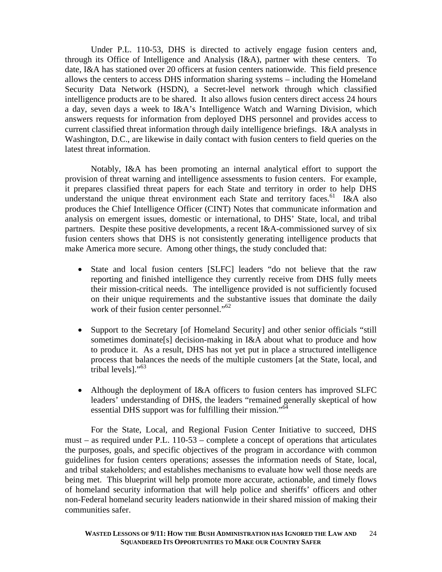Under P.L. 110-53, DHS is directed to actively engage fusion centers and, through its Office of Intelligence and Analysis (I&A), partner with these centers. To date, I&A has stationed over 20 officers at fusion centers nationwide. This field presence allows the centers to access DHS information sharing systems – including the Homeland Security Data Network (HSDN), a Secret-level network through which classified intelligence products are to be shared. It also allows fusion centers direct access 24 hours a day, seven days a week to I&A's Intelligence Watch and Warning Division, which answers requests for information from deployed DHS personnel and provides access to current classified threat information through daily intelligence briefings. I&A analysts in Washington, D.C., are likewise in daily contact with fusion centers to field queries on the latest threat information.

Notably, I&A has been promoting an internal analytical effort to support the provision of threat warning and intelligence assessments to fusion centers. For example, it prepares classified threat papers for each State and territory in order to help DHS understand the unique threat environment each State and territory faces.<sup>61</sup> I&A also produces the Chief Intelligence Officer (CINT) Notes that communicate information and analysis on emergent issues, domestic or international, to DHS' State, local, and tribal partners. Despite these positive developments, a recent I&A-commissioned survey of six fusion centers shows that DHS is not consistently generating intelligence products that make America more secure. Among other things, the study concluded that:

- State and local fusion centers [SLFC] leaders "do not believe that the raw reporting and finished intelligence they currently receive from DHS fully meets their mission-critical needs. The intelligence provided is not sufficiently focused on their unique requirements and the substantive issues that dominate the daily work of their fusion center personnel."<sup>62</sup>
- Support to the Secretary [of Homeland Security] and other senior officials "still sometimes dominate<sup>[5]</sup> decision-making in I&A about what to produce and how to produce it. As a result, DHS has not yet put in place a structured intelligence process that balances the needs of the multiple customers [at the State, local, and tribal levels]."<sup>63</sup>
- Although the deployment of I&A officers to fusion centers has improved SLFC leaders' understanding of DHS, the leaders "remained generally skeptical of how essential DHS support was for fulfilling their mission."<sup>64</sup>

For the State, Local, and Regional Fusion Center Initiative to succeed, DHS must – as required under P.L. 110-53 – complete a concept of operations that articulates the purposes, goals, and specific objectives of the program in accordance with common guidelines for fusion centers operations; assesses the information needs of State, local, and tribal stakeholders; and establishes mechanisms to evaluate how well those needs are being met. This blueprint will help promote more accurate, actionable, and timely flows of homeland security information that will help police and sheriffs' officers and other non-Federal homeland security leaders nationwide in their shared mission of making their communities safer.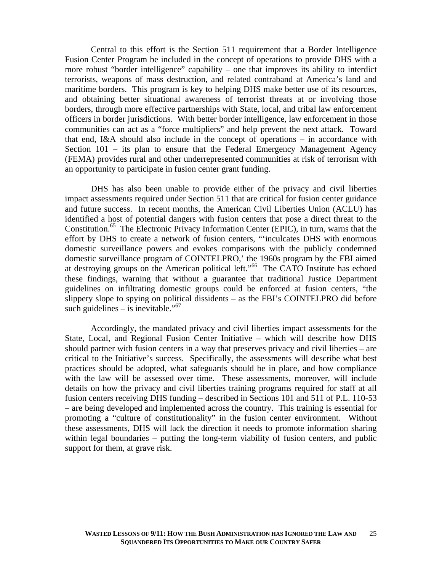Central to this effort is the Section 511 requirement that a Border Intelligence Fusion Center Program be included in the concept of operations to provide DHS with a more robust "border intelligence" capability – one that improves its ability to interdict terrorists, weapons of mass destruction, and related contraband at America's land and maritime borders. This program is key to helping DHS make better use of its resources, and obtaining better situational awareness of terrorist threats at or involving those borders, through more effective partnerships with State, local, and tribal law enforcement officers in border jurisdictions. With better border intelligence, law enforcement in those communities can act as a "force multipliers" and help prevent the next attack. Toward that end, I&A should also include in the concept of operations – in accordance with Section 101 – its plan to ensure that the Federal Emergency Management Agency (FEMA) provides rural and other underrepresented communities at risk of terrorism with an opportunity to participate in fusion center grant funding.

DHS has also been unable to provide either of the privacy and civil liberties impact assessments required under Section 511 that are critical for fusion center guidance and future success. In recent months, the American Civil Liberties Union (ACLU) has identified a host of potential dangers with fusion centers that pose a direct threat to the Constitution.<sup>65</sup> The Electronic Privacy Information Center (EPIC), in turn, warns that the effort by DHS to create a network of fusion centers, "'inculcates DHS with enormous domestic surveillance powers and evokes comparisons with the publicly condemned domestic surveillance program of COINTELPRO,' the 1960s program by the FBI aimed at destroying groups on the American political left."66 The CATO Institute has echoed these findings, warning that without a guarantee that traditional Justice Department guidelines on infiltrating domestic groups could be enforced at fusion centers, "the slippery slope to spying on political dissidents – as the FBI's COINTELPRO did before such guidelines – is inevitable."<sup>67</sup>

Accordingly, the mandated privacy and civil liberties impact assessments for the State, Local, and Regional Fusion Center Initiative – which will describe how DHS should partner with fusion centers in a way that preserves privacy and civil liberties – are critical to the Initiative's success. Specifically, the assessments will describe what best practices should be adopted, what safeguards should be in place, and how compliance with the law will be assessed over time. These assessments, moreover, will include details on how the privacy and civil liberties training programs required for staff at all fusion centers receiving DHS funding – described in Sections 101 and 511 of P.L. 110-53 – are being developed and implemented across the country. This training is essential for promoting a "culture of constitutionality" in the fusion center environment. Without these assessments, DHS will lack the direction it needs to promote information sharing within legal boundaries – putting the long-term viability of fusion centers, and public support for them, at grave risk.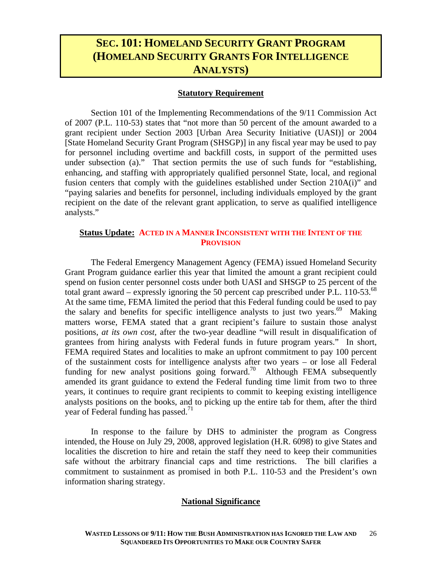### **SEC. 101: HOMELAND SECURITY GRANT PROGRAM (HOMELAND SECURITY GRANTS FOR INTELLIGENCE ANALYSTS)**

### **Statutory Requirement**

Section 101 of the Implementing Recommendations of the 9/11 Commission Act of 2007 (P.L. 110-53) states that "not more than 50 percent of the amount awarded to a grant recipient under Section 2003 [Urban Area Security Initiative (UASI)] or 2004 [State Homeland Security Grant Program (SHSGP)] in any fiscal year may be used to pay for personnel including overtime and backfill costs, in support of the permitted uses under subsection (a)." That section permits the use of such funds for "establishing, enhancing, and staffing with appropriately qualified personnel State, local, and regional fusion centers that comply with the guidelines established under Section 210A(i)" and "paying salaries and benefits for personnel, including individuals employed by the grant recipient on the date of the relevant grant application, to serve as qualified intelligence analysts."

### **Status Update: ACTED IN A MANNER INCONSISTENT WITH THE INTENT OF THE PROVISION**

 The Federal Emergency Management Agency (FEMA) issued Homeland Security Grant Program guidance earlier this year that limited the amount a grant recipient could spend on fusion center personnel costs under both UASI and SHSGP to 25 percent of the total grant award – expressly ignoring the 50 percent cap prescribed under P.L. 110-53.<sup>68</sup> At the same time, FEMA limited the period that this Federal funding could be used to pay the salary and benefits for specific intelligence analysts to just two years.<sup>69</sup> Making matters worse, FEMA stated that a grant recipient's failure to sustain those analyst positions, *at its own cost,* after the two-year deadline "will result in disqualification of grantees from hiring analysts with Federal funds in future program years." In short, FEMA required States and localities to make an upfront commitment to pay 100 percent of the sustainment costs for intelligence analysts after two years – or lose all Federal funding for new analyst positions going forward.<sup>70</sup> Although FEMA subsequently amended its grant guidance to extend the Federal funding time limit from two to three years, it continues to require grant recipients to commit to keeping existing intelligence analysts positions on the books, and to picking up the entire tab for them, after the third year of Federal funding has passed. $^{71}$ 

In response to the failure by DHS to administer the program as Congress intended, the House on July 29, 2008, approved legislation (H.R. 6098) to give States and localities the discretion to hire and retain the staff they need to keep their communities safe without the arbitrary financial caps and time restrictions. The bill clarifies a commitment to sustainment as promised in both P.L. 110-53 and the President's own information sharing strategy.

### **National Significance**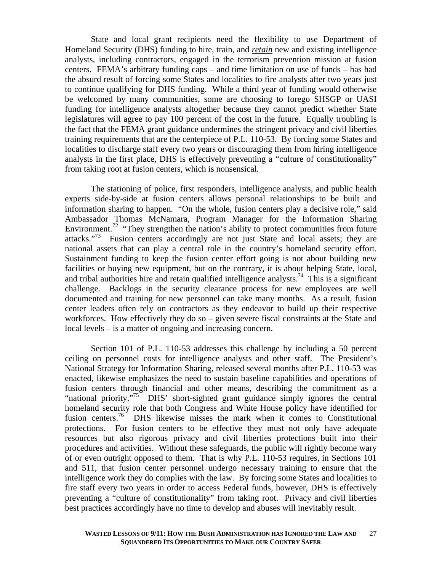State and local grant recipients need the flexibility to use Department of Homeland Security (DHS) funding to hire, train, and *retain* new and existing intelligence analysts, including contractors, engaged in the terrorism prevention mission at fusion centers. FEMA's arbitrary funding caps – and time limitation on use of funds – has had the absurd result of forcing some States and localities to fire analysts after two years just to continue qualifying for DHS funding. While a third year of funding would otherwise be welcomed by many communities, some are choosing to forego SHSGP or UASI funding for intelligence analysts altogether because they cannot predict whether State legislatures will agree to pay 100 percent of the cost in the future. Equally troubling is the fact that the FEMA grant guidance undermines the stringent privacy and civil liberties training requirements that are the centerpiece of P.L. 110-53. By forcing some States and localities to discharge staff every two years or discouraging them from hiring intelligence analysts in the first place, DHS is effectively preventing a "culture of constitutionality" from taking root at fusion centers, which is nonsensical.

The stationing of police, first responders, intelligence analysts, and public health experts side-by-side at fusion centers allows personal relationships to be built and information sharing to happen. "On the whole, fusion centers play a decisive role," said Ambassador Thomas McNamara, Program Manager for the Information Sharing Environment.<sup>72</sup> "They strengthen the nation's ability to protect communities from future attacks."<sup>73</sup> Fusion centers accordingly are not just State and local assets; they are national assets that can play a central role in the country's homeland security effort. Sustainment funding to keep the fusion center effort going is not about building new facilities or buying new equipment, but on the contrary, it is about helping State, local, and tribal authorities hire and retain qualified intelligence analysts.<sup>74</sup> This is a significant challenge. Backlogs in the security clearance process for new employees are well documented and training for new personnel can take many months. As a result, fusion center leaders often rely on contractors as they endeavor to build up their respective workforces. How effectively they do so – given severe fiscal constraints at the State and local levels – is a matter of ongoing and increasing concern.

Section 101 of P.L. 110-53 addresses this challenge by including a 50 percent ceiling on personnel costs for intelligence analysts and other staff. The President's National Strategy for Information Sharing, released several months after P.L. 110-53 was enacted, likewise emphasizes the need to sustain baseline capabilities and operations of fusion centers through financial and other means, describing the commitment as a "national priority."<sup>75</sup> DHS' short-sighted grant guidance simply ignores the central homeland security role that both Congress and White House policy have identified for fusion centers.<sup>76</sup> DHS likewise misses the mark when it comes to Constitutional protections. For fusion centers to be effective they must not only have adequate resources but also rigorous privacy and civil liberties protections built into their procedures and activities. Without these safeguards, the public will rightly become wary of or even outright opposed to them. That is why P.L. 110-53 requires, in Sections 101 and 511, that fusion center personnel undergo necessary training to ensure that the intelligence work they do complies with the law. By forcing some States and localities to fire staff every two years in order to access Federal funds, however, DHS is effectively preventing a "culture of constitutionality" from taking root. Privacy and civil liberties best practices accordingly have no time to develop and abuses will inevitably result.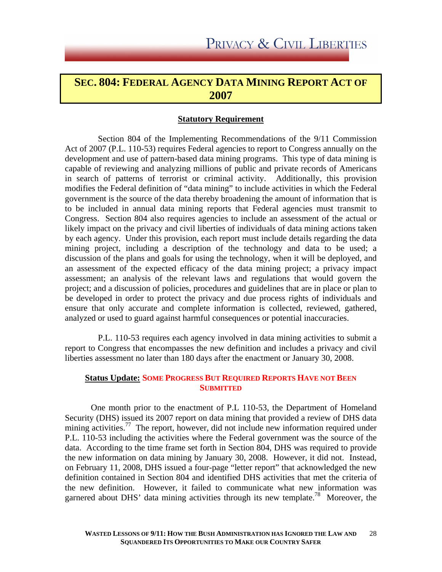### **SEC. 804: FEDERAL AGENCY DATA MINING REPORT ACT OF 2007**

### **Statutory Requirement**

 Section 804 of the Implementing Recommendations of the 9/11 Commission Act of 2007 (P.L. 110-53) requires Federal agencies to report to Congress annually on the development and use of pattern-based data mining programs. This type of data mining is capable of reviewing and analyzing millions of public and private records of Americans in search of patterns of terrorist or criminal activity. Additionally, this provision modifies the Federal definition of "data mining" to include activities in which the Federal government is the source of the data thereby broadening the amount of information that is to be included in annual data mining reports that Federal agencies must transmit to Congress. Section 804 also requires agencies to include an assessment of the actual or likely impact on the privacy and civil liberties of individuals of data mining actions taken by each agency. Under this provision, each report must include details regarding the data mining project, including a description of the technology and data to be used; a discussion of the plans and goals for using the technology, when it will be deployed, and an assessment of the expected efficacy of the data mining project; a privacy impact assessment; an analysis of the relevant laws and regulations that would govern the project; and a discussion of policies, procedures and guidelines that are in place or plan to be developed in order to protect the privacy and due process rights of individuals and ensure that only accurate and complete information is collected, reviewed, gathered, analyzed or used to guard against harmful consequences or potential inaccuracies.

 P.L. 110-53 requires each agency involved in data mining activities to submit a report to Congress that encompasses the new definition and includes a privacy and civil liberties assessment no later than 180 days after the enactment or January 30, 2008.

### **Status Update: SOME PROGRESS BUT REQUIRED REPORTS HAVE NOT BEEN SUBMITTED**

 One month prior to the enactment of P.L 110-53, the Department of Homeland Security (DHS) issued its 2007 report on data mining that provided a review of DHS data mining activities.<sup>77</sup> The report, however, did not include new information required under P.L. 110-53 including the activities where the Federal government was the source of the data. According to the time frame set forth in Section 804, DHS was required to provide the new information on data mining by January 30, 2008. However, it did not. Instead, on February 11, 2008, DHS issued a four-page "letter report" that acknowledged the new definition contained in Section 804 and identified DHS activities that met the criteria of the new definition. However, it failed to communicate what new information was garnered about DHS' data mining activities through its new template.<sup>78</sup> Moreover, the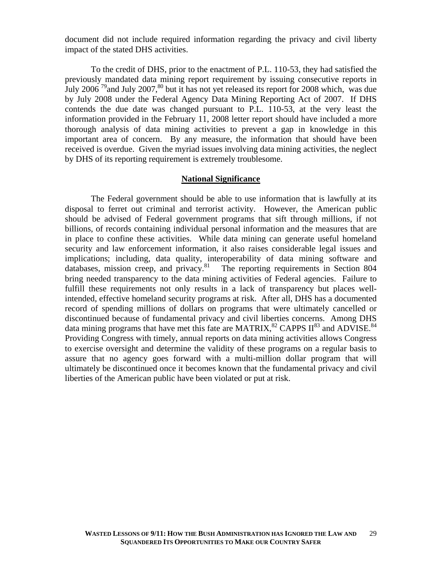document did not include required information regarding the privacy and civil liberty impact of the stated DHS activities.

 To the credit of DHS, prior to the enactment of P.L. 110-53, they had satisfied the previously mandated data mining report requirement by issuing consecutive reports in July 2006<sup>79</sup> and July 2007,<sup>80</sup> but it has not yet released its report for 2008 which, was due by July 2008 under the Federal Agency Data Mining Reporting Act of 2007. If DHS contends the due date was changed pursuant to P.L. 110-53, at the very least the information provided in the February 11, 2008 letter report should have included a more thorough analysis of data mining activities to prevent a gap in knowledge in this important area of concern. By any measure, the information that should have been received is overdue. Given the myriad issues involving data mining activities, the neglect by DHS of its reporting requirement is extremely troublesome.

#### **National Significance**

The Federal government should be able to use information that is lawfully at its disposal to ferret out criminal and terrorist activity. However, the American public should be advised of Federal government programs that sift through millions, if not billions, of records containing individual personal information and the measures that are in place to confine these activities. While data mining can generate useful homeland security and law enforcement information, it also raises considerable legal issues and implications; including, data quality, interoperability of data mining software and databases, mission creep, and privacy.<sup>81</sup> The reporting requirements in Section 804 bring needed transparency to the data mining activities of Federal agencies. Failure to fulfill these requirements not only results in a lack of transparency but places wellintended, effective homeland security programs at risk. After all, DHS has a documented record of spending millions of dollars on programs that were ultimately cancelled or discontinued because of fundamental privacy and civil liberties concerns. Among DHS data mining programs that have met this fate are MATRIX,  $^{82}$  CAPPS II $^{83}$  and ADVISE.<sup>84</sup> Providing Congress with timely, annual reports on data mining activities allows Congress to exercise oversight and determine the validity of these programs on a regular basis to assure that no agency goes forward with a multi-million dollar program that will ultimately be discontinued once it becomes known that the fundamental privacy and civil liberties of the American public have been violated or put at risk.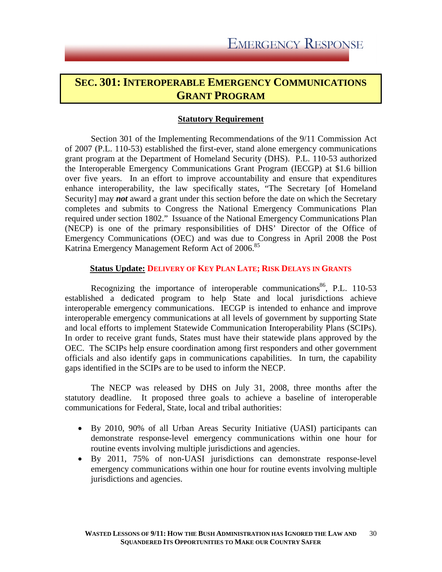### **SEC. 301: INTEROPERABLE EMERGENCY COMMUNICATIONS GRANT PROGRAM**

### **Statutory Requirement**

 Section 301 of the Implementing Recommendations of the 9/11 Commission Act of 2007 (P.L. 110-53) established the first-ever, stand alone emergency communications grant program at the Department of Homeland Security (DHS). P.L. 110-53 authorized the Interoperable Emergency Communications Grant Program (IECGP) at \$1.6 billion over five years. In an effort to improve accountability and ensure that expenditures enhance interoperability, the law specifically states, "The Secretary [of Homeland Security] may *not* award a grant under this section before the date on which the Secretary completes and submits to Congress the National Emergency Communications Plan required under section 1802." Issuance of the National Emergency Communications Plan (NECP) is one of the primary responsibilities of DHS' Director of the Office of Emergency Communications (OEC) and was due to Congress in April 2008 the Post Katrina Emergency Management Reform Act of 2006.<sup>85</sup>

### **Status Update: DELIVERY OF KEY PLAN LATE; RISK DELAYS IN GRANTS**

Recognizing the importance of interoperable communications<sup>86</sup>, P.L. 110-53 established a dedicated program to help State and local jurisdictions achieve interoperable emergency communications. IECGP is intended to enhance and improve interoperable emergency communications at all levels of government by supporting State and local efforts to implement Statewide Communication Interoperability Plans (SCIPs). In order to receive grant funds, States must have their statewide plans approved by the OEC. The SCIPs help ensure coordination among first responders and other government officials and also identify gaps in communications capabilities. In turn, the capability gaps identified in the SCIPs are to be used to inform the NECP.

 The NECP was released by DHS on July 31, 2008, three months after the statutory deadline. It proposed three goals to achieve a baseline of interoperable communications for Federal, State, local and tribal authorities:

- By 2010, 90% of all Urban Areas Security Initiative (UASI) participants can demonstrate response-level emergency communications within one hour for routine events involving multiple jurisdictions and agencies.
- By 2011, 75% of non-UASI jurisdictions can demonstrate response-level emergency communications within one hour for routine events involving multiple jurisdictions and agencies.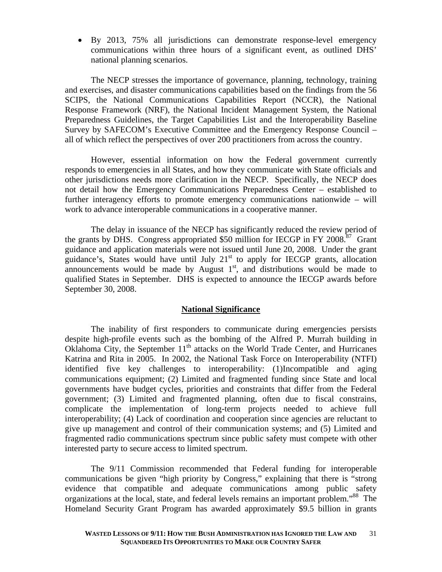• By 2013, 75% all jurisdictions can demonstrate response-level emergency communications within three hours of a significant event, as outlined DHS' national planning scenarios.

The NECP stresses the importance of governance, planning, technology, training and exercises, and disaster communications capabilities based on the findings from the 56 SCIPS, the National Communications Capabilities Report (NCCR), the National Response Framework (NRF), the National Incident Management System, the National Preparedness Guidelines, the Target Capabilities List and the Interoperability Baseline Survey by SAFECOM's Executive Committee and the Emergency Response Council – all of which reflect the perspectives of over 200 practitioners from across the country.

However, essential information on how the Federal government currently responds to emergencies in all States, and how they communicate with State officials and other jurisdictions needs more clarification in the NECP. Specifically, the NECP does not detail how the Emergency Communications Preparedness Center – established to further interagency efforts to promote emergency communications nationwide – will work to advance interoperable communications in a cooperative manner.

The delay in issuance of the NECP has significantly reduced the review period of the grants by DHS. Congress appropriated \$50 million for IECGP in FY 2008.<sup>87</sup> Grant guidance and application materials were not issued until June 20, 2008. Under the grant guidance's, States would have until July  $21<sup>st</sup>$  to apply for IECGP grants, allocation announcements would be made by August  $1<sup>st</sup>$ , and distributions would be made to qualified States in September. DHS is expected to announce the IECGP awards before September 30, 2008.

### **National Significance**

The inability of first responders to communicate during emergencies persists despite high-profile events such as the bombing of the Alfred P. Murrah building in Oklahoma City, the September 11<sup>th</sup> attacks on the World Trade Center, and Hurricanes Katrina and Rita in 2005. In 2002, the National Task Force on Interoperability (NTFI) identified five key challenges to interoperability: (1)Incompatible and aging communications equipment; (2) Limited and fragmented funding since State and local governments have budget cycles, priorities and constraints that differ from the Federal government; (3) Limited and fragmented planning, often due to fiscal constrains, complicate the implementation of long-term projects needed to achieve full interoperability; (4) Lack of coordination and cooperation since agencies are reluctant to give up management and control of their communication systems; and (5) Limited and fragmented radio communications spectrum since public safety must compete with other interested party to secure access to limited spectrum.

 The 9/11 Commission recommended that Federal funding for interoperable communications be given "high priority by Congress," explaining that there is "strong evidence that compatible and adequate communications among public safety organizations at the local, state, and federal levels remains an important problem."<sup>88</sup> The Homeland Security Grant Program has awarded approximately \$9.5 billion in grants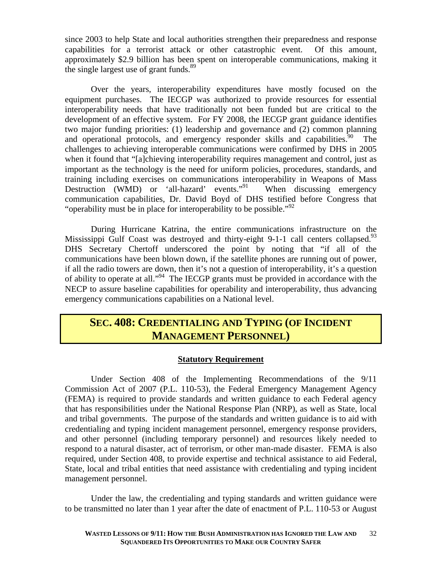since 2003 to help State and local authorities strengthen their preparedness and response capabilities for a terrorist attack or other catastrophic event. Of this amount, approximately \$2.9 billion has been spent on interoperable communications, making it the single largest use of grant funds. $89$ 

Over the years, interoperability expenditures have mostly focused on the equipment purchases. The IECGP was authorized to provide resources for essential interoperability needs that have traditionally not been funded but are critical to the development of an effective system. For FY 2008, the IECGP grant guidance identifies two major funding priorities: (1) leadership and governance and (2) common planning and operational protocols, and emergency responder skills and capabilities.<sup>90</sup> The challenges to achieving interoperable communications were confirmed by DHS in 2005 when it found that "[a]chieving interoperability requires management and control, just as important as the technology is the need for uniform policies, procedures, standards, and training including exercises on communications interoperability in Weapons of Mass Destruction (WMD) or 'all-hazard' events."<sup>91</sup> When discussing emergency communication capabilities, Dr. David Boyd of DHS testified before Congress that "operability must be in place for interoperability to be possible."<sup>92</sup>

During Hurricane Katrina, the entire communications infrastructure on the Mississippi Gulf Coast was destroyed and thirty-eight 9-1-1 call centers collapsed.<sup>93</sup> DHS Secretary Chertoff underscored the point by noting that "if all of the communications have been blown down, if the satellite phones are running out of power, if all the radio towers are down, then it's not a question of interoperability, it's a question of ability to operate at all."94 The IECGP grants must be provided in accordance with the NECP to assure baseline capabilities for operability and interoperability, thus advancing emergency communications capabilities on a National level.

### **SEC. 408: CREDENTIALING AND TYPING (OF INCIDENT MANAGEMENT PERSONNEL)**

### **Statutory Requirement**

Under Section 408 of the Implementing Recommendations of the 9/11 Commission Act of 2007 (P.L. 110-53), the Federal Emergency Management Agency (FEMA) is required to provide standards and written guidance to each Federal agency that has responsibilities under the National Response Plan (NRP), as well as State, local and tribal governments. The purpose of the standards and written guidance is to aid with credentialing and typing incident management personnel, emergency response providers, and other personnel (including temporary personnel) and resources likely needed to respond to a natural disaster, act of terrorism, or other man-made disaster. FEMA is also required, under Section 408, to provide expertise and technical assistance to aid Federal, State, local and tribal entities that need assistance with credentialing and typing incident management personnel.

Under the law, the credentialing and typing standards and written guidance were to be transmitted no later than 1 year after the date of enactment of P.L. 110-53 or August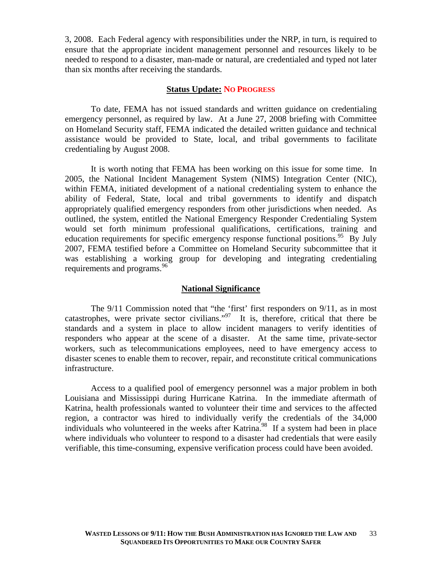3, 2008. Each Federal agency with responsibilities under the NRP, in turn, is required to ensure that the appropriate incident management personnel and resources likely to be needed to respond to a disaster, man-made or natural, are credentialed and typed not later than six months after receiving the standards.

### **Status Update: NO PROGRESS**

 To date, FEMA has not issued standards and written guidance on credentialing emergency personnel, as required by law. At a June 27, 2008 briefing with Committee on Homeland Security staff, FEMA indicated the detailed written guidance and technical assistance would be provided to State, local, and tribal governments to facilitate credentialing by August 2008.

It is worth noting that FEMA has been working on this issue for some time. In 2005, the National Incident Management System (NIMS) Integration Center (NIC), within FEMA, initiated development of a national credentialing system to enhance the ability of Federal, State, local and tribal governments to identify and dispatch appropriately qualified emergency responders from other jurisdictions when needed. As outlined, the system, entitled the National Emergency Responder Credentialing System would set forth minimum professional qualifications, certifications, training and education requirements for specific emergency response functional positions.<sup>95</sup> By July 2007, FEMA testified before a Committee on Homeland Security subcommittee that it was establishing a working group for developing and integrating credentialing requirements and programs.<sup>96</sup>

### **National Significance**

The 9/11 Commission noted that "the 'first' first responders on 9/11, as in most catastrophes, were private sector civilians." $97$  It is, therefore, critical that there be standards and a system in place to allow incident managers to verify identities of responders who appear at the scene of a disaster. At the same time, private-sector workers, such as telecommunications employees, need to have emergency access to disaster scenes to enable them to recover, repair, and reconstitute critical communications infrastructure.

Access to a qualified pool of emergency personnel was a major problem in both Louisiana and Mississippi during Hurricane Katrina. In the immediate aftermath of Katrina, health professionals wanted to volunteer their time and services to the affected region, a contractor was hired to individually verify the credentials of the 34,000 individuals who volunteered in the weeks after Katrina.<sup>98</sup> If a system had been in place where individuals who volunteer to respond to a disaster had credentials that were easily verifiable, this time-consuming, expensive verification process could have been avoided.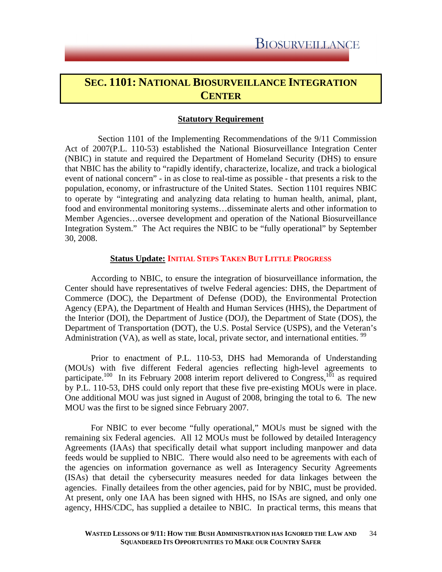### **SEC. 1101: NATIONAL BIOSURVEILLANCE INTEGRATION CENTER**

### **Statutory Requirement**

 Section 1101 of the Implementing Recommendations of the 9/11 Commission Act of 2007(P.L. 110-53) established the National Biosurveillance Integration Center (NBIC) in statute and required the Department of Homeland Security (DHS) to ensure that NBIC has the ability to "rapidly identify, characterize, localize, and track a biological event of national concern" - in as close to real-time as possible - that presents a risk to the population, economy, or infrastructure of the United States. Section 1101 requires NBIC to operate by "integrating and analyzing data relating to human health, animal, plant, food and environmental monitoring systems…disseminate alerts and other information to Member Agencies…oversee development and operation of the National Biosurveillance Integration System." The Act requires the NBIC to be "fully operational" by September 30, 2008.

### **Status Update: INITIAL STEPS TAKEN BUT LITTLE PROGRESS**

According to NBIC, to ensure the integration of biosurveillance information, the Center should have representatives of twelve Federal agencies: DHS, the Department of Commerce (DOC), the Department of Defense (DOD), the Environmental Protection Agency (EPA), the Department of Health and Human Services (HHS), the Department of the Interior (DOI), the Department of Justice (DOJ), the Department of State (DOS), the Department of Transportation (DOT), the U.S. Postal Service (USPS), and the Veteran's Administration (VA), as well as state, local, private sector, and international entities.  $\frac{99}{2}$ 

Prior to enactment of P.L. 110-53, DHS had Memoranda of Understanding (MOUs) with five different Federal agencies reflecting high-level agreements to participate.<sup>100</sup> In its February 2008 interim report delivered to Congress,<sup>101</sup> as required by P.L. 110-53, DHS could only report that these five pre-existing MOUs were in place. One additional MOU was just signed in August of 2008, bringing the total to 6. The new MOU was the first to be signed since February 2007.

For NBIC to ever become "fully operational," MOUs must be signed with the remaining six Federal agencies. All 12 MOUs must be followed by detailed Interagency Agreements (IAAs) that specifically detail what support including manpower and data feeds would be supplied to NBIC. There would also need to be agreements with each of the agencies on information governance as well as Interagency Security Agreements (ISAs) that detail the cybersecurity measures needed for data linkages between the agencies. Finally detailees from the other agencies, paid for by NBIC, must be provided. At present, only one IAA has been signed with HHS, no ISAs are signed, and only one agency, HHS/CDC, has supplied a detailee to NBIC. In practical terms, this means that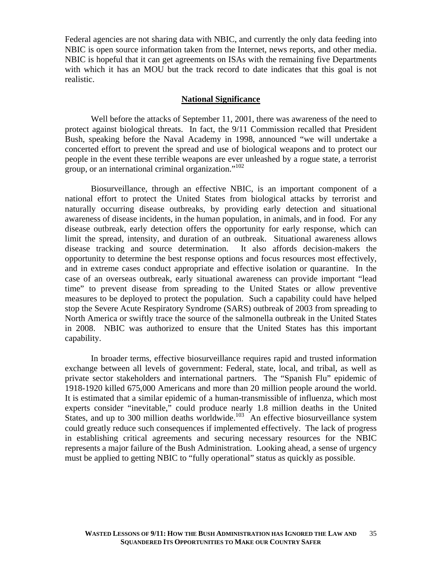Federal agencies are not sharing data with NBIC, and currently the only data feeding into NBIC is open source information taken from the Internet, news reports, and other media. NBIC is hopeful that it can get agreements on ISAs with the remaining five Departments with which it has an MOU but the track record to date indicates that this goal is not realistic.

#### **National Significance**

 Well before the attacks of September 11, 2001, there was awareness of the need to protect against biological threats. In fact, the 9/11 Commission recalled that President Bush, speaking before the Naval Academy in 1998, announced "we will undertake a concerted effort to prevent the spread and use of biological weapons and to protect our people in the event these terrible weapons are ever unleashed by a rogue state, a terrorist group, or an international criminal organization."102

Biosurveillance, through an effective NBIC, is an important component of a national effort to protect the United States from biological attacks by terrorist and naturally occurring disease outbreaks, by providing early detection and situational awareness of disease incidents, in the human population, in animals, and in food. For any disease outbreak, early detection offers the opportunity for early response, which can limit the spread, intensity, and duration of an outbreak. Situational awareness allows disease tracking and source determination. It also affords decision-makers the opportunity to determine the best response options and focus resources most effectively, and in extreme cases conduct appropriate and effective isolation or quarantine. In the case of an overseas outbreak, early situational awareness can provide important "lead time" to prevent disease from spreading to the United States or allow preventive measures to be deployed to protect the population. Such a capability could have helped stop the Severe Acute Respiratory Syndrome (SARS) outbreak of 2003 from spreading to North America or swiftly trace the source of the salmonella outbreak in the United States in 2008. NBIC was authorized to ensure that the United States has this important capability.

 In broader terms, effective biosurveillance requires rapid and trusted information exchange between all levels of government: Federal, state, local, and tribal, as well as private sector stakeholders and international partners. The "Spanish Flu" epidemic of 1918-1920 killed 675,000 Americans and more than 20 million people around the world. It is estimated that a similar epidemic of a human-transmissible of influenza, which most experts consider "inevitable," could produce nearly 1.8 million deaths in the United States, and up to 300 million deaths worldwide.<sup>103</sup> An effective biosurveillance system could greatly reduce such consequences if implemented effectively. The lack of progress in establishing critical agreements and securing necessary resources for the NBIC represents a major failure of the Bush Administration. Looking ahead, a sense of urgency must be applied to getting NBIC to "fully operational" status as quickly as possible.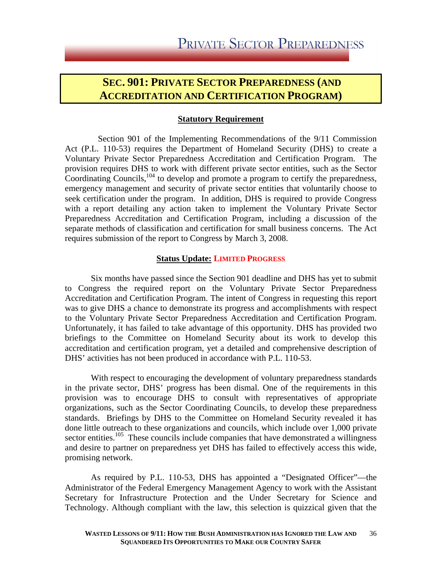### **SEC. 901: PRIVATE SECTOR PREPAREDNESS (AND ACCREDITATION AND CERTIFICATION PROGRAM)**

### **Statutory Requirement**

 Section 901 of the Implementing Recommendations of the 9/11 Commission Act (P.L. 110-53) requires the Department of Homeland Security (DHS) to create a Voluntary Private Sector Preparedness Accreditation and Certification Program. The provision requires DHS to work with different private sector entities, such as the Sector Coordinating Councils,<sup>104</sup> to develop and promote a program to certify the preparedness, emergency management and security of private sector entities that voluntarily choose to seek certification under the program. In addition, DHS is required to provide Congress with a report detailing any action taken to implement the Voluntary Private Sector Preparedness Accreditation and Certification Program, including a discussion of the separate methods of classification and certification for small business concerns. The Act requires submission of the report to Congress by March 3, 2008.

### **Status Update: LIMITED PROGRESS**

 Six months have passed since the Section 901 deadline and DHS has yet to submit to Congress the required report on the Voluntary Private Sector Preparedness Accreditation and Certification Program. The intent of Congress in requesting this report was to give DHS a chance to demonstrate its progress and accomplishments with respect to the Voluntary Private Sector Preparedness Accreditation and Certification Program. Unfortunately, it has failed to take advantage of this opportunity. DHS has provided two briefings to the Committee on Homeland Security about its work to develop this accreditation and certification program, yet a detailed and comprehensive description of DHS' activities has not been produced in accordance with P.L. 110-53.

 With respect to encouraging the development of voluntary preparedness standards in the private sector, DHS' progress has been dismal. One of the requirements in this provision was to encourage DHS to consult with representatives of appropriate organizations, such as the Sector Coordinating Councils, to develop these preparedness standards. Briefings by DHS to the Committee on Homeland Security revealed it has done little outreach to these organizations and councils, which include over 1,000 private sector entities.<sup>105</sup> These councils include companies that have demonstrated a willingness and desire to partner on preparedness yet DHS has failed to effectively access this wide, promising network.

 As required by P.L. 110-53, DHS has appointed a "Designated Officer"—the Administrator of the Federal Emergency Management Agency to work with the Assistant Secretary for Infrastructure Protection and the Under Secretary for Science and Technology. Although compliant with the law, this selection is quizzical given that the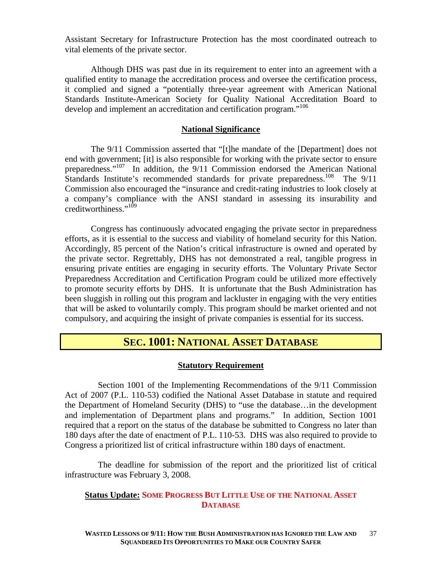Assistant Secretary for Infrastructure Protection has the most coordinated outreach to vital elements of the private sector.

 Although DHS was past due in its requirement to enter into an agreement with a qualified entity to manage the accreditation process and oversee the certification process, it complied and signed a "potentially three-year agreement with American National Standards Institute-American Society for Quality National Accreditation Board to develop and implement an accreditation and certification program."<sup>106</sup>

### **National Significance**

The 9/11 Commission asserted that "[t]he mandate of the [Department] does not end with government; [it] is also responsible for working with the private sector to ensure preparedness."107 In addition, the 9/11 Commission endorsed the American National Standards Institute's recommended standards for private preparedness.<sup>108</sup> The  $9/11$ Commission also encouraged the "insurance and credit-rating industries to look closely at a company's compliance with the ANSI standard in assessing its insurability and creditworthiness."109

Congress has continuously advocated engaging the private sector in preparedness efforts, as it is essential to the success and viability of homeland security for this Nation. Accordingly, 85 percent of the Nation's critical infrastructure is owned and operated by the private sector. Regrettably, DHS has not demonstrated a real, tangible progress in ensuring private entities are engaging in security efforts. The Voluntary Private Sector Preparedness Accreditation and Certification Program could be utilized more effectively to promote security efforts by DHS. It is unfortunate that the Bush Administration has been sluggish in rolling out this program and lackluster in engaging with the very entities that will be asked to voluntarily comply. This program should be market oriented and not compulsory, and acquiring the insight of private companies is essential for its success.

### **SEC. 1001: NATIONAL ASSET DATABASE**

### **Statutory Requirement**

 Section 1001 of the Implementing Recommendations of the 9/11 Commission Act of 2007 (P.L. 110-53) codified the National Asset Database in statute and required the Department of Homeland Security (DHS) to "use the database…in the development and implementation of Department plans and programs." In addition, Section 1001 required that a report on the status of the database be submitted to Congress no later than 180 days after the date of enactment of P.L. 110-53. DHS was also required to provide to Congress a prioritized list of critical infrastructure within 180 days of enactment.

 The deadline for submission of the report and the prioritized list of critical infrastructure was February 3, 2008.

### **Status Update: SOME PROGRESS BUT LITTLE USE OF THE NATIONAL ASSET DATABASE**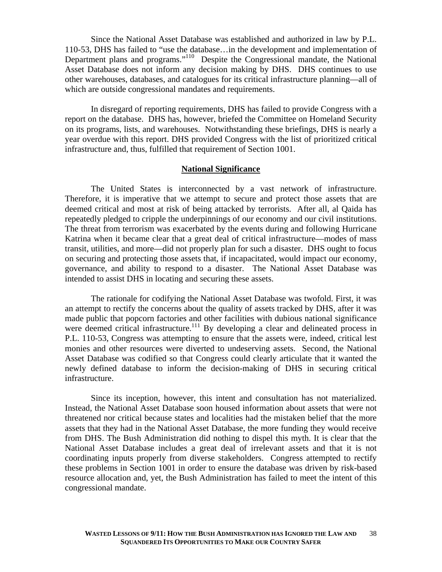Since the National Asset Database was established and authorized in law by P.L. 110-53, DHS has failed to "use the database…in the development and implementation of Department plans and programs."<sup>110</sup> Despite the Congressional mandate, the National Asset Database does not inform any decision making by DHS. DHS continues to use other warehouses, databases, and catalogues for its critical infrastructure planning—all of which are outside congressional mandates and requirements.

 In disregard of reporting requirements, DHS has failed to provide Congress with a report on the database. DHS has, however, briefed the Committee on Homeland Security on its programs, lists, and warehouses. Notwithstanding these briefings, DHS is nearly a year overdue with this report. DHS provided Congress with the list of prioritized critical infrastructure and, thus, fulfilled that requirement of Section 1001.

### **National Significance**

 The United States is interconnected by a vast network of infrastructure. Therefore, it is imperative that we attempt to secure and protect those assets that are deemed critical and most at risk of being attacked by terrorists. After all, al Qaida has repeatedly pledged to cripple the underpinnings of our economy and our civil institutions. The threat from terrorism was exacerbated by the events during and following Hurricane Katrina when it became clear that a great deal of critical infrastructure—modes of mass transit, utilities, and more—did not properly plan for such a disaster. DHS ought to focus on securing and protecting those assets that, if incapacitated, would impact our economy, governance, and ability to respond to a disaster. The National Asset Database was intended to assist DHS in locating and securing these assets.

The rationale for codifying the National Asset Database was twofold. First, it was an attempt to rectify the concerns about the quality of assets tracked by DHS, after it was made public that popcorn factories and other facilities with dubious national significance were deemed critical infrastructure.<sup>111</sup> By developing a clear and delineated process in P.L. 110-53, Congress was attempting to ensure that the assets were, indeed, critical lest monies and other resources were diverted to undeserving assets. Second, the National Asset Database was codified so that Congress could clearly articulate that it wanted the newly defined database to inform the decision-making of DHS in securing critical infrastructure.

Since its inception, however, this intent and consultation has not materialized. Instead, the National Asset Database soon housed information about assets that were not threatened nor critical because states and localities had the mistaken belief that the more assets that they had in the National Asset Database, the more funding they would receive from DHS. The Bush Administration did nothing to dispel this myth. It is clear that the National Asset Database includes a great deal of irrelevant assets and that it is not coordinating inputs properly from diverse stakeholders. Congress attempted to rectify these problems in Section 1001 in order to ensure the database was driven by risk-based resource allocation and, yet, the Bush Administration has failed to meet the intent of this congressional mandate.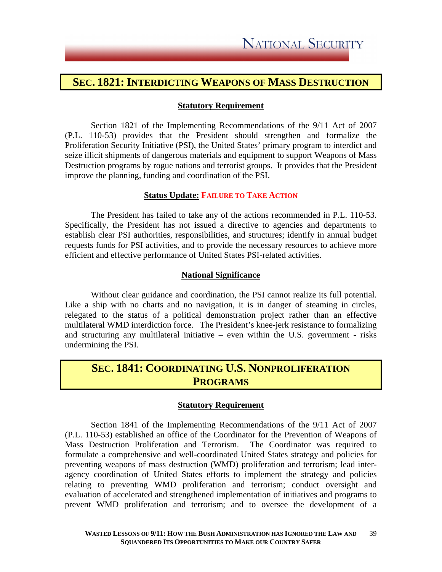### **SEC. 1821: INTERDICTING WEAPONS OF MASS DESTRUCTION**

### **Statutory Requirement**

Section 1821 of the Implementing Recommendations of the 9/11 Act of 2007 (P.L. 110-53) provides that the President should strengthen and formalize the Proliferation Security Initiative (PSI), the United States' primary program to interdict and seize illicit shipments of dangerous materials and equipment to support Weapons of Mass Destruction programs by rogue nations and terrorist groups. It provides that the President improve the planning, funding and coordination of the PSI.

### **Status Update: FAILURE TO TAKE ACTION**

The President has failed to take any of the actions recommended in P.L. 110-53. Specifically, the President has not issued a directive to agencies and departments to establish clear PSI authorities, responsibilities, and structures; identify in annual budget requests funds for PSI activities, and to provide the necessary resources to achieve more efficient and effective performance of United States PSI-related activities.

### **National Significance**

Without clear guidance and coordination, the PSI cannot realize its full potential. Like a ship with no charts and no navigation, it is in danger of steaming in circles, relegated to the status of a political demonstration project rather than an effective multilateral WMD interdiction force. The President's knee-jerk resistance to formalizing and structuring any multilateral initiative – even within the U.S. government - risks undermining the PSI.

### **SEC. 1841: COORDINATING U.S. NONPROLIFERATION PROGRAMS**

### **Statutory Requirement**

Section 1841 of the Implementing Recommendations of the 9/11 Act of 2007 (P.L. 110-53) established an office of the Coordinator for the Prevention of Weapons of Mass Destruction Proliferation and Terrorism. The Coordinator was required to formulate a comprehensive and well-coordinated United States strategy and policies for preventing weapons of mass destruction (WMD) proliferation and terrorism; lead interagency coordination of United States efforts to implement the strategy and policies relating to preventing WMD proliferation and terrorism; conduct oversight and evaluation of accelerated and strengthened implementation of initiatives and programs to prevent WMD proliferation and terrorism; and to oversee the development of a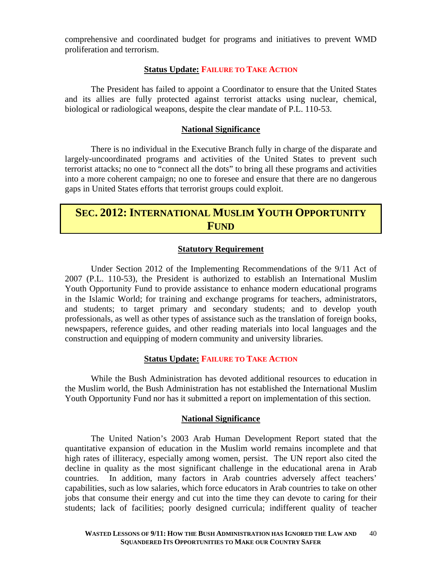comprehensive and coordinated budget for programs and initiatives to prevent WMD proliferation and terrorism.

### **Status Update: FAILURE TO TAKE ACTION**

The President has failed to appoint a Coordinator to ensure that the United States and its allies are fully protected against terrorist attacks using nuclear, chemical, biological or radiological weapons, despite the clear mandate of P.L. 110-53.

### **National Significance**

There is no individual in the Executive Branch fully in charge of the disparate and largely-uncoordinated programs and activities of the United States to prevent such terrorist attacks; no one to "connect all the dots" to bring all these programs and activities into a more coherent campaign; no one to foresee and ensure that there are no dangerous gaps in United States efforts that terrorist groups could exploit.

### **SEC. 2012: INTERNATIONAL MUSLIM YOUTH OPPORTUNITY FUND**

### **Statutory Requirement**

Under Section 2012 of the Implementing Recommendations of the 9/11 Act of 2007 (P.L. 110-53), the President is authorized to establish an International Muslim Youth Opportunity Fund to provide assistance to enhance modern educational programs in the Islamic World; for training and exchange programs for teachers, administrators, and students; to target primary and secondary students; and to develop youth professionals, as well as other types of assistance such as the translation of foreign books, newspapers, reference guides, and other reading materials into local languages and the construction and equipping of modern community and university libraries.

### **Status Update: FAILURE TO TAKE ACTION**

While the Bush Administration has devoted additional resources to education in the Muslim world, the Bush Administration has not established the International Muslim Youth Opportunity Fund nor has it submitted a report on implementation of this section.

### **National Significance**

 The United Nation's 2003 Arab Human Development Report stated that the quantitative expansion of education in the Muslim world remains incomplete and that high rates of illiteracy, especially among women, persist. The UN report also cited the decline in quality as the most significant challenge in the educational arena in Arab countries. In addition, many factors in Arab countries adversely affect teachers' capabilities, such as low salaries, which force educators in Arab countries to take on other jobs that consume their energy and cut into the time they can devote to caring for their students; lack of facilities; poorly designed curricula; indifferent quality of teacher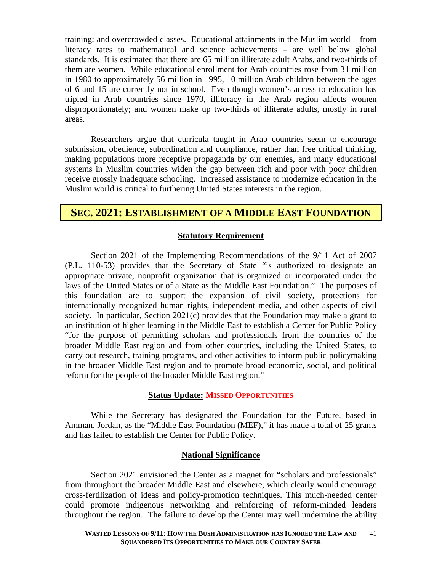training; and overcrowded classes. Educational attainments in the Muslim world – from literacy rates to mathematical and science achievements – are well below global standards. It is estimated that there are 65 million illiterate adult Arabs, and two-thirds of them are women. While educational enrollment for Arab countries rose from 31 million in 1980 to approximately 56 million in 1995, 10 million Arab children between the ages of 6 and 15 are currently not in school. Even though women's access to education has tripled in Arab countries since 1970, illiteracy in the Arab region affects women disproportionately; and women make up two-thirds of illiterate adults, mostly in rural areas.

Researchers argue that curricula taught in Arab countries seem to encourage submission, obedience, subordination and compliance, rather than free critical thinking, making populations more receptive propaganda by our enemies, and many educational systems in Muslim countries widen the gap between rich and poor with poor children receive grossly inadequate schooling. Increased assistance to modernize education in the Muslim world is critical to furthering United States interests in the region.

### **SEC. 2021: ESTABLISHMENT OF A MIDDLE EAST FOUNDATION**

### **Statutory Requirement**

Section 2021 of the Implementing Recommendations of the 9/11 Act of 2007 (P.L. 110-53) provides that the Secretary of State "is authorized to designate an appropriate private, nonprofit organization that is organized or incorporated under the laws of the United States or of a State as the Middle East Foundation." The purposes of this foundation are to support the expansion of civil society, protections for internationally recognized human rights, independent media, and other aspects of civil society. In particular, Section 2021(c) provides that the Foundation may make a grant to an institution of higher learning in the Middle East to establish a Center for Public Policy "for the purpose of permitting scholars and professionals from the countries of the broader Middle East region and from other countries, including the United States, to carry out research, training programs, and other activities to inform public policymaking in the broader Middle East region and to promote broad economic, social, and political reform for the people of the broader Middle East region."

### **Status Update: MISSED OPPORTUNITIES**

While the Secretary has designated the Foundation for the Future, based in Amman, Jordan, as the "Middle East Foundation (MEF)," it has made a total of 25 grants and has failed to establish the Center for Public Policy.

### **National Significance**

Section 2021 envisioned the Center as a magnet for "scholars and professionals" from throughout the broader Middle East and elsewhere, which clearly would encourage cross-fertilization of ideas and policy-promotion techniques. This much-needed center could promote indigenous networking and reinforcing of reform-minded leaders throughout the region. The failure to develop the Center may well undermine the ability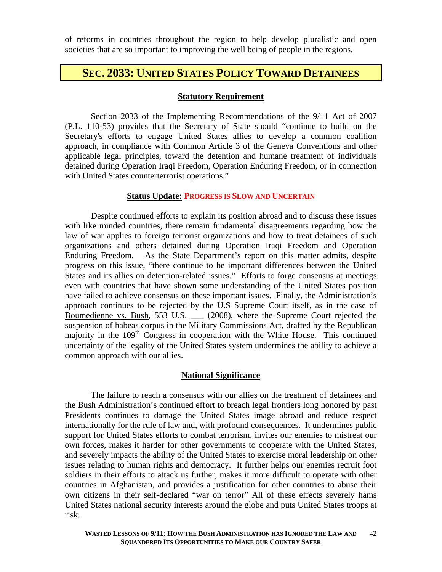of reforms in countries throughout the region to help develop pluralistic and open societies that are so important to improving the well being of people in the regions.

### **SEC. 2033: UNITED STATES POLICY TOWARD DETAINEES**

### **Statutory Requirement**

Section 2033 of the Implementing Recommendations of the 9/11 Act of 2007 (P.L. 110-53) provides that the Secretary of State should "continue to build on the Secretary's efforts to engage United States allies to develop a common coalition approach, in compliance with Common Article 3 of the Geneva Conventions and other applicable legal principles, toward the detention and humane treatment of individuals detained during Operation Iraqi Freedom, Operation Enduring Freedom, or in connection with United States counterterrorist operations."

### **Status Update: PROGRESS IS SLOW AND UNCERTAIN**

Despite continued efforts to explain its position abroad and to discuss these issues with like minded countries, there remain fundamental disagreements regarding how the law of war applies to foreign terrorist organizations and how to treat detainees of such organizations and others detained during Operation Iraqi Freedom and Operation Enduring Freedom. As the State Department's report on this matter admits, despite progress on this issue, "there continue to be important differences between the United States and its allies on detention-related issues." Efforts to forge consensus at meetings even with countries that have shown some understanding of the United States position have failed to achieve consensus on these important issues. Finally, the Administration's approach continues to be rejected by the U.S Supreme Court itself, as in the case of Boumedienne vs. Bush, 553 U.S. \_\_\_ (2008), where the Supreme Court rejected the suspension of habeas corpus in the Military Commissions Act, drafted by the Republican majority in the  $109<sup>th</sup>$  Congress in cooperation with the White House. This continued uncertainty of the legality of the United States system undermines the ability to achieve a common approach with our allies.

### **National Significance**

 The failure to reach a consensus with our allies on the treatment of detainees and the Bush Administration's continued effort to breach legal frontiers long honored by past Presidents continues to damage the United States image abroad and reduce respect internationally for the rule of law and, with profound consequences. It undermines public support for United States efforts to combat terrorism, invites our enemies to mistreat our own forces, makes it harder for other governments to cooperate with the United States, and severely impacts the ability of the United States to exercise moral leadership on other issues relating to human rights and democracy. It further helps our enemies recruit foot soldiers in their efforts to attack us further, makes it more difficult to operate with other countries in Afghanistan, and provides a justification for other countries to abuse their own citizens in their self-declared "war on terror" All of these effects severely hams United States national security interests around the globe and puts United States troops at risk.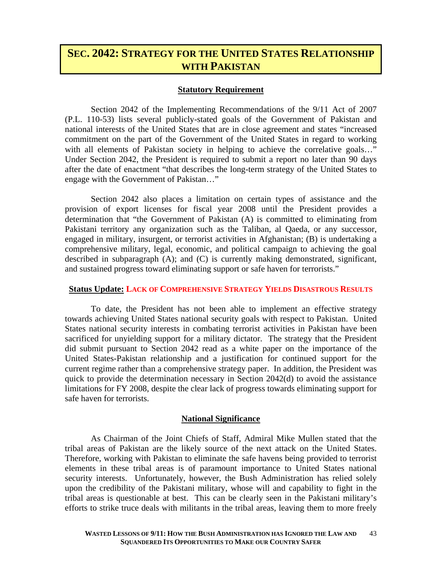### **SEC. 2042: STRATEGY FOR THE UNITED STATES RELATIONSHIP WITH PAKISTAN**

### **Statutory Requirement**

Section 2042 of the Implementing Recommendations of the 9/11 Act of 2007 (P.L. 110-53) lists several publicly-stated goals of the Government of Pakistan and national interests of the United States that are in close agreement and states "increased commitment on the part of the Government of the United States in regard to working with all elements of Pakistan society in helping to achieve the correlative goals..." Under Section 2042, the President is required to submit a report no later than 90 days after the date of enactment "that describes the long-term strategy of the United States to engage with the Government of Pakistan…"

Section 2042 also places a limitation on certain types of assistance and the provision of export licenses for fiscal year 2008 until the President provides a determination that "the Government of Pakistan (A) is committed to eliminating from Pakistani territory any organization such as the Taliban, al Qaeda, or any successor, engaged in military, insurgent, or terrorist activities in Afghanistan; (B) is undertaking a comprehensive military, legal, economic, and political campaign to achieving the goal described in subparagraph (A); and (C) is currently making demonstrated, significant, and sustained progress toward eliminating support or safe haven for terrorists."

### **Status Update: LACK OF COMPREHENSIVE STRATEGY YIELDS DISASTROUS RESULTS**

To date, the President has not been able to implement an effective strategy towards achieving United States national security goals with respect to Pakistan. United States national security interests in combating terrorist activities in Pakistan have been sacrificed for unyielding support for a military dictator. The strategy that the President did submit pursuant to Section 2042 read as a white paper on the importance of the United States-Pakistan relationship and a justification for continued support for the current regime rather than a comprehensive strategy paper. In addition, the President was quick to provide the determination necessary in Section  $2042(d)$  to avoid the assistance limitations for FY 2008, despite the clear lack of progress towards eliminating support for safe haven for terrorists.

### **National Significance**

 As Chairman of the Joint Chiefs of Staff, Admiral Mike Mullen stated that the tribal areas of Pakistan are the likely source of the next attack on the United States. Therefore, working with Pakistan to eliminate the safe havens being provided to terrorist elements in these tribal areas is of paramount importance to United States national security interests. Unfortunately, however, the Bush Administration has relied solely upon the credibility of the Pakistani military, whose will and capability to fight in the tribal areas is questionable at best. This can be clearly seen in the Pakistani military's efforts to strike truce deals with militants in the tribal areas, leaving them to more freely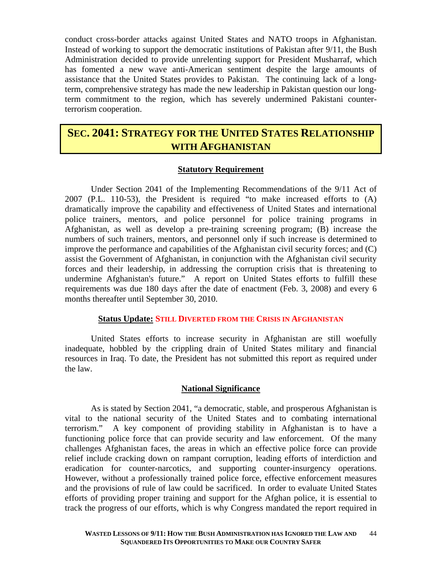conduct cross-border attacks against United States and NATO troops in Afghanistan. Instead of working to support the democratic institutions of Pakistan after 9/11, the Bush Administration decided to provide unrelenting support for President Musharraf, which has fomented a new wave anti-American sentiment despite the large amounts of assistance that the United States provides to Pakistan. The continuing lack of a longterm, comprehensive strategy has made the new leadership in Pakistan question our longterm commitment to the region, which has severely undermined Pakistani counterterrorism cooperation.

### **SEC. 2041: STRATEGY FOR THE UNITED STATES RELATIONSHIP WITH AFGHANISTAN**

### **Statutory Requirement**

Under Section 2041 of the Implementing Recommendations of the 9/11 Act of 2007 (P.L. 110-53), the President is required "to make increased efforts to (A) dramatically improve the capability and effectiveness of United States and international police trainers, mentors, and police personnel for police training programs in Afghanistan, as well as develop a pre-training screening program; (B) increase the numbers of such trainers, mentors, and personnel only if such increase is determined to improve the performance and capabilities of the Afghanistan civil security forces; and (C) assist the Government of Afghanistan, in conjunction with the Afghanistan civil security forces and their leadership, in addressing the corruption crisis that is threatening to undermine Afghanistan's future." A report on United States efforts to fulfill these requirements was due 180 days after the date of enactment (Feb. 3, 2008) and every 6 months thereafter until September 30, 2010.

### **Status Update: STILL DIVERTED FROM THE CRISIS IN AFGHANISTAN**

 United States efforts to increase security in Afghanistan are still woefully inadequate, hobbled by the crippling drain of United States military and financial resources in Iraq. To date, the President has not submitted this report as required under the law.

### **National Significance**

As is stated by Section 2041, "a democratic, stable, and prosperous Afghanistan is vital to the national security of the United States and to combating international terrorism." A key component of providing stability in Afghanistan is to have a functioning police force that can provide security and law enforcement. Of the many challenges Afghanistan faces, the areas in which an effective police force can provide relief include cracking down on rampant corruption, leading efforts of interdiction and eradication for counter-narcotics, and supporting counter-insurgency operations. However, without a professionally trained police force, effective enforcement measures and the provisions of rule of law could be sacrificed. In order to evaluate United States efforts of providing proper training and support for the Afghan police, it is essential to track the progress of our efforts, which is why Congress mandated the report required in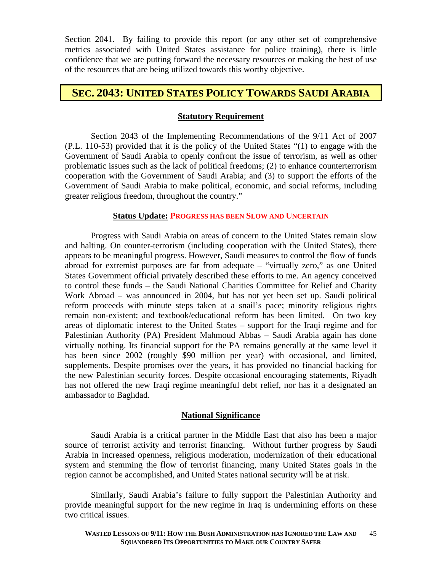Section 2041. By failing to provide this report (or any other set of comprehensive metrics associated with United States assistance for police training), there is little confidence that we are putting forward the necessary resources or making the best of use of the resources that are being utilized towards this worthy objective.

### **SEC. 2043: UNITED STATES POLICY TOWARDS SAUDI ARABIA**

### **Statutory Requirement**

Section 2043 of the Implementing Recommendations of the 9/11 Act of 2007 (P.L. 110-53) provided that it is the policy of the United States "(1) to engage with the Government of Saudi Arabia to openly confront the issue of terrorism, as well as other problematic issues such as the lack of political freedoms; (2) to enhance counterterrorism cooperation with the Government of Saudi Arabia; and (3) to support the efforts of the Government of Saudi Arabia to make political, economic, and social reforms, including greater religious freedom, throughout the country."

### **Status Update: PROGRESS HAS BEEN SLOW AND UNCERTAIN**

Progress with Saudi Arabia on areas of concern to the United States remain slow and halting. On counter-terrorism (including cooperation with the United States), there appears to be meaningful progress. However, Saudi measures to control the flow of funds abroad for extremist purposes are far from adequate – "virtually zero," as one United States Government official privately described these efforts to me. An agency conceived to control these funds – the Saudi National Charities Committee for Relief and Charity Work Abroad – was announced in 2004, but has not yet been set up. Saudi political reform proceeds with minute steps taken at a snail's pace; minority religious rights remain non-existent; and textbook/educational reform has been limited. On two key areas of diplomatic interest to the United States – support for the Iraqi regime and for Palestinian Authority (PA) President Mahmoud Abbas – Saudi Arabia again has done virtually nothing. Its financial support for the PA remains generally at the same level it has been since 2002 (roughly \$90 million per year) with occasional, and limited, supplements. Despite promises over the years, it has provided no financial backing for the new Palestinian security forces. Despite occasional encouraging statements, Riyadh has not offered the new Iraqi regime meaningful debt relief, nor has it a designated an ambassador to Baghdad.

### **National Significance**

Saudi Arabia is a critical partner in the Middle East that also has been a major source of terrorist activity and terrorist financing. Without further progress by Saudi Arabia in increased openness, religious moderation, modernization of their educational system and stemming the flow of terrorist financing, many United States goals in the region cannot be accomplished, and United States national security will be at risk.

Similarly, Saudi Arabia's failure to fully support the Palestinian Authority and provide meaningful support for the new regime in Iraq is undermining efforts on these two critical issues.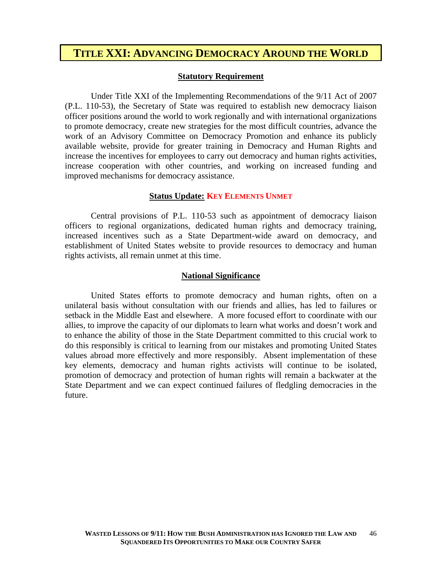### **TITLE XXI: ADVANCING DEMOCRACY AROUND THE WORLD**

### **Statutory Requirement**

Under Title XXI of the Implementing Recommendations of the 9/11 Act of 2007 (P.L. 110-53), the Secretary of State was required to establish new democracy liaison officer positions around the world to work regionally and with international organizations to promote democracy, create new strategies for the most difficult countries, advance the work of an Advisory Committee on Democracy Promotion and enhance its publicly available website, provide for greater training in Democracy and Human Rights and increase the incentives for employees to carry out democracy and human rights activities, increase cooperation with other countries, and working on increased funding and improved mechanisms for democracy assistance.

### **Status Update: KEY ELEMENTS UNMET**

Central provisions of P.L. 110-53 such as appointment of democracy liaison officers to regional organizations, dedicated human rights and democracy training, increased incentives such as a State Department-wide award on democracy, and establishment of United States website to provide resources to democracy and human rights activists, all remain unmet at this time.

### **National Significance**

United States efforts to promote democracy and human rights, often on a unilateral basis without consultation with our friends and allies, has led to failures or setback in the Middle East and elsewhere. A more focused effort to coordinate with our allies, to improve the capacity of our diplomats to learn what works and doesn't work and to enhance the ability of those in the State Department committed to this crucial work to do this responsibly is critical to learning from our mistakes and promoting United States values abroad more effectively and more responsibly. Absent implementation of these key elements, democracy and human rights activists will continue to be isolated, promotion of democracy and protection of human rights will remain a backwater at the State Department and we can expect continued failures of fledgling democracies in the future.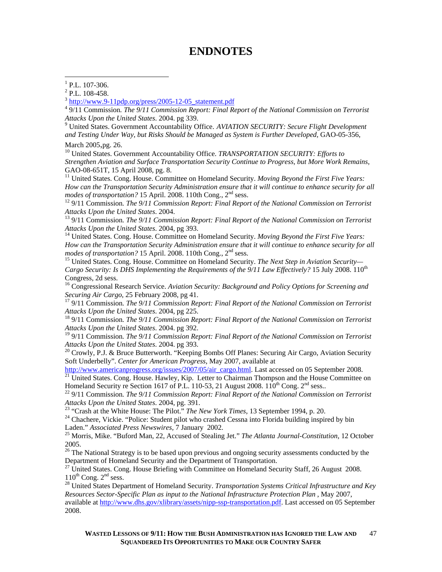### **ENDNOTES**

4 9/11 Commission*. The 9/11 Commission Report: Final Report of the National Commission on Terrorist*  Attacks Upon the United States. 2004. pg 339.<br><sup>9</sup> United States. Government Accountability Office. *AVIATION SECURITY: Secure Flight Development* 

*and Testing Under Way, but Risks Should be Managed as System is Further Developed,* GAO-05-356,

March 2005,pg. 26.<br><sup>10</sup> United States. Government Accountability Office. *TRANSPORTATION SECURITY: Efforts to Strengthen Aviation and Surface Transportation Security Continue to Progress, but More Work Remains,*  GAO-08-651T, 15 April 2008, pg. 8.

<sup>11</sup> United States. Cong. House. Committee on Homeland Security. *Moving Beyond the First Five Years: How can the Transportation Security Administration ensure that it will continue to enhance security for all modes of transportation?* 15 April. 2008. 110th Cong., 2<sup>nd</sup> sess.

<sup>12</sup> 9/11 Commission. *The 9/11 Commission Report: Final Report of the National Commission on Terrorist Attacks Upon the United States.* 2004.

<sup>13</sup> 9/11 Commission. *The 9/11 Commission Report: Final Report of the National Commission on Terrorist*<br>Attacks Upon the United States. 2004, pg 393.

<sup>14</sup> United States. Cong. House. Committee on Homeland Security. *Moving Beyond the First Five Years: How can the Transportation Security Administration ensure that it will continue to enhance security for all modes of transportation?* 15 April. 2008. 110th Cong., 2<sup>nd</sup> sess.

<sup>15</sup> United States. Cong. House. Committee on Homeland Security. *The Next Step in Aviation Security*— *Cargo Security: Is DHS Implementing the Requirements of the 9/11 Law Effectively?* 15 July 2008. 110<sup>th</sup> Congress, 2d sess.

16 Congressional Research Service. *Aviation Security: Background and Policy Options for Screening and* 

*Securing Air Cargo*, 25 February 2008, pg 41.<br><sup>17</sup> 9/11 Commission. *The 9/11 Commission Report: Final Report of the National Commission on Terrorist Attacks Upon the United States.* 2004, pg 225.

<sup>18</sup> 9/11 Commission. The 9/11 Commission Report: Final Report of the National Commission on Terrorist *Attacks Upon the United States*. 2004. pg 392.

19 9/11 Commission*. The 9/11 Commission Report: Final Report of the National Commission on Terrorist Attacks Upon the United States.* 2004. pg 393.<br><sup>20</sup> Crowly, P.J. & Bruce Butterworth. "Keeping Bombs Off Planes: Securing Air Cargo, Aviation Security

Soft Underbelly". *Center for American Progress*, May 2007, available at

http://www.americanprogress.org/issues/2007/05/air\_cargo.html. Last accessed on 05 September 2008.<br><sup>21</sup> United States. Cong. House. Hawley, Kip. Letter to Chairman Thompson and the House Committee on Homeland Security re

<sup>22</sup> 9/11 Commission. The 9/11 Commission Report: Final Report of the National Commission on Terrorist Attacks Upon the United States. 2004, pg. 391.<br><sup>23</sup> "Crash at the White House: The Pilot." *The New York Times*, 13 September 1994, p. 20.<br><sup>24</sup> Chachere, Vickie. "Police: Student pilot who crashed Cessna into Florida build

Laden." *Associated Press Newswires,* 7 January 2002.<br><sup>25</sup> Morris, Mike. "Buford Man, 22, Accused of Stealing Jet." *The Atlanta Journal-Constitution*, 12 October

2005.

<sup>26</sup> The National Strategy is to be based upon previous and ongoing security assessments conducted by the Department of Homeland Security and the Department of Transportation.

<sup>27</sup> United States. Cong. House Briefing with Committee on Homeland Security Staff, 26 August 2008.<br>110<sup>th</sup> Cong. 2<sup>nd</sup> sess.

<sup>28</sup> United States Department of Homeland Security. *Transportation Systems Critical Infrastructure and Key Resources Sector-Specific Plan as input to the National Infrastructure Protection Plan* , May 2007, available at http://www.dhs.gov/xlibrary/assets/nipp-ssp-transportation.pdf. Last accessed on 05 September 2008.

 $^{1}$  P.L. 107-306.

 $2$  P.L. 108-458.

 $3 \text{ http://www.9-11pdp.org/press/2005-12-05}$  statement.pdf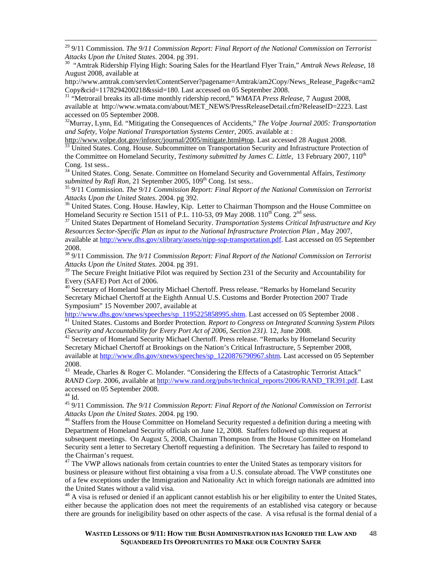<sup>29</sup> 9/11 Commission. *The 9/11 Commission Report: Final Report of the National Commission on Terrorist Attacks Upon the United States.* 2004. pg 391.

<sup>30</sup> "Amtrak Ridership Flying High: Soaring Sales for the Heartland Flyer Train," *Amtrak News Release*, 18 August 2008, available at

http://www.amtrak.com/servlet/ContentServer?pagename=Amtrak/am2Copy/News\_Release\_Page&c=am2 Copy&cid=1178294200218&ssid=180. Last accessed on 05 September 2008. 31 "Metrorail breaks its all-time monthly ridership record," *WMATA Press Release,* 7 August 2008,

available at http://www.wmata.com/about/MET\_NEWS/PressReleaseDetail.cfm?ReleaseID=2223. Last accessed on 05 September 2008.

32Murray, Lynn, Ed. "Mitigating the Consequences of Accidents," *The Volpe Journal 2005: Transportation and Safety, Volpe National Transportation Systems Center,* 2005. available at :

http://www.volpe.dot.gov/infosrc/journal/2005/mitigate.html#top. Last accessed 28 August 2008.<br><sup>33</sup> United States. Cong. House. Subcommittee on Transportation Security and Infrastructure Protection of

the Committee on Homeland Security, *Testimony submitted by James C. Little*, 13 February 2007, 110<sup>th</sup> Cong. 1st sess..

<sup>34</sup> United States. Cong. Senate. Committee on Homeland Security and Governmental Affairs, *Testimony submitted by Rafi Ron*, 21 September 2005, 109<sup>th</sup> Cong. 1st sess..

<sup>35</sup> 9/11 Commission. The 9/11 Commission Report: Final Report of the National Commission on Terrorist

*Attacks Upon the United States*. 2004. pg 392.<br><sup>36</sup> United States. Cong. House. Hawley, Kip. Letter to Chairman Thompson and the House Committee on Homeland Security re Section 1511 of P.L. 110-53, 09 May 2008. 110<sup>th</sup> Co

<sup>37</sup> United States Department of Homeland Security. *Transportation Systems Critical Infrastructure and Key Resources Sector-Specific Plan as input to the National Infrastructure Protection Plan* , May 2007, available at http://www.dhs.gov/xlibrary/assets/nipp-ssp-transportation.pdf. Last accessed on 05 September 2008.

38 9/11 Commission*. The 9/11 Commission Report: Final Report of the National Commission on Terrorist Attacks Upon the United States*. 2004. pg 391.

<sup>39</sup> The Secure Freight Initiative Pilot was required by Section 231 of the Security and Accountability for Every (SAFE) Port Act of 2006.

<sup>40</sup> Secretary of Homeland Security Michael Chertoff. Press release. "Remarks by Homeland Security Secretary Michael Chertoff at the Eighth Annual U.S. Customs and Border Protection 2007 Trade Symposium" 15 November 2007, available at

http://www.dhs.gov/xnews/speeches/sp\_1195225858995.shtm. Last accessed on 05 September 2008 .<br><sup>41</sup> United States. Customs and Border Protection. *Report to Congress on Integrated Scanning System Pilots (Security and Acco* 

<sup>42</sup> Secretary of Homeland Security Michael Chertoff. Press release. "Remarks by Homeland Security Secretary Michael Chertoff at Brookings on the Nation's Critical Infrastructure, 5 September 2008, available at http://www.dhs.gov/xnews/speeches/sp\_1220876790967.shtm. Last accessed on 05 September 2008.

43 Meade, Charles & Roger C. Molander. "Considering the Effects of a Catastrophic Terrorist Attack" *RAND Corp*. 2006, available at http://www.rand.org/pubs/technical\_reports/2006/RAND\_TR391.pdf. Last accessed on 05 September 2008.

 $^{44}$  Id.

45 9/11 Commission*. The 9/11 Commission Report: Final Report of the National Commission on Terrorist Attacks Upon the United States*. 2004. pg 190. 46 Staffers from the House Committee on Homeland Security requested a definition during a meeting with

Department of Homeland Security officials on June 12, 2008. Staffers followed up this request at subsequent meetings. On August 5, 2008, Chairman Thompson from the House Committee on Homeland Security sent a letter to Secretary Chertoff requesting a definition. The Secretary has failed to respond to the Chairman's request.

<sup>47</sup> The VWP allows nationals from certain countries to enter the United States as temporary visitors for business or pleasure without first obtaining a visa from a U.S. consulate abroad. The VWP constitutes one of a few exceptions under the Immigration and Nationality Act in which foreign nationals are admitted into the United States without a valid visa.

 $48$  A visa is refused or denied if an applicant cannot establish his or her eligibility to enter the United States, either because the application does not meet the requirements of an established visa category or because there are grounds for ineligibility based on other aspects of the case. A visa refusal is the formal denial of a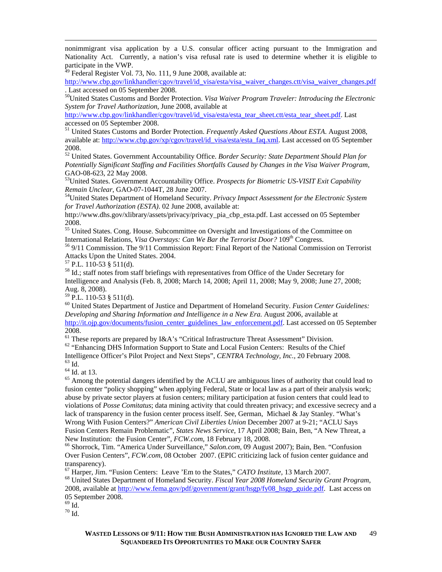nonimmigrant visa application by a U.S. consular officer acting pursuant to the Immigration and Nationality Act. Currently, a nation's visa refusal rate is used to determine whether it is eligible to participate in the VWP.

Federal Register Vol. 73, No. 111, 9 June 2008, available at:

http://www.cbp.gov/linkhandler/cgov/travel/id\_visa/esta/visa\_waiver\_changes.ctt/visa\_waiver\_changes.pdf . Last accessed on 05 September 2008.

50United States Customs and Border Protection. *Visa Waiver Program Traveler: Introducing the Electronic System for Travel Authorization*, June 2008, available at

http://www.cbp.gov/linkhandler/cgov/travel/id\_visa/esta/esta\_tear\_sheet.ctt/esta\_tear\_sheet.pdf. Last accessed on 05 September 2008.

51 United States Customs and Border Protection. *Frequently Asked Questions About ESTA*. August 2008, available at: http://www.cbp.gov/xp/cgov/travel/id\_visa/esta/esta\_faq.xml. Last accessed on 05 September 2008.

52 United States. Government Accountability Office. *Border Security: State Department Should Plan for Potentially Significant Staffing and Facilities Shortfalls Caused by Changes in the Visa Waiver Program*, GAO-08-623, 22 May 2008.

53United States. Government Accountability Office. *Prospects for Biometric US-VISIT Exit Capability Remain Unclear*, GAO-07-1044T, 28 June 2007.<br><sup>54</sup>United States Department of Homeland Security. *Privacy Impact Assessment for the Electronic System* 

*for Travel Authorization (ESTA)*. 02 June 2008, available at:

http://www.dhs.gov/xlibrary/assets/privacy/privacy\_pia\_cbp\_esta.pdf. Last accessed on 05 September 2008.

<sup>55</sup> United States. Cong. House. Subcommittee on Oversight and Investigations of the Committee on International Relations, *Visa Overstays: Can We Bar the Terrorist Door*?  $109<sup>th</sup>$  Congress.

<sup>56</sup> 9/11 Commission. The 9/11 Commission Report: Final Report of the National Commission on Terrorist Attacks Upon the United States. 2004. 57 P.L. 110-53 § 511(d).

58 Id.; staff notes from staff briefings with representatives from Office of the Under Secretary for Intelligence and Analysis (Feb. 8, 2008; March 14, 2008; April 11, 2008; May 9, 2008; June 27, 2008; Aug. 8, 2008).

 $59$  P.L. 110-53 § 511(d).

60 United States Department of Justice and Department of Homeland Security. *Fusion Center Guidelines: Developing and Sharing Information and Intelligence in a New Era.* August 2006, available at http://it.ojp.gov/documents/fusion\_center\_guidelines\_law\_enforcement.pdf. Last accessed on 05 September 2008.<br><sup>61</sup> These reports are prepared by I&A's "Critical Infrastructure Threat Assessment" Division.

 $62$  "Enhancing DHS Information Support to State and Local Fusion Centers: Results of the Chief Intelligence Officer's Pilot Project and Next Steps", *CENTRA Technology, Inc.,* 20 February 2008. 63 Id.

64 Id. at 13.

<sup>65</sup> Among the potential dangers identified by the ACLU are ambiguous lines of authority that could lead to fusion center "policy shopping" when applying Federal, State or local law as a part of their analysis work; abuse by private sector players at fusion centers; military participation at fusion centers that could lead to violations of *Posse Comitatus*; data mining activity that could threaten privacy; and excessive secrecy and a lack of transparency in the fusion center process itself. See, German, Michael & Jay Stanley. "What's Wrong With Fusion Centers?" *American Civil Liberties Union* December 2007 at 9-21; "ACLU Says Fusion Centers Remain Problematic", *States News Service*, 17 April 2008; Bain, Ben, "A New Threat, a New Institution: the Fusion Center", *FCW.com*, 18 February 18, 2008.<br><sup>66</sup> Shorrock, Tim. "America Under Surveillance," *Salon.com*, 09 August 2007); Bain, Ben. "Confusion

Over Fusion Centers", *FCW.com*, 08 October 2007. (EPIC criticizing lack of fusion center guidance and

transparency).<br><sup>67</sup> Harper, Jim. "Fusion Centers: Leave 'Em to the States," *CATO Institute*, 13 March 2007.

<sup>68</sup> United States Department of Homeland Security. *Fiscal Year 2008 Homeland Security Grant Program*, 2008, available at http://www.fema.gov/pdf/government/grant/hsgp/fy08\_hsgp\_guide.pdf. Last access on 05 September 2008.

 $69$  Id.

 $^{70}$  Id.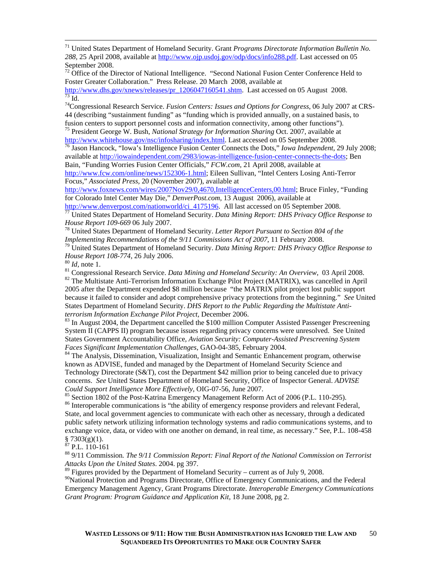71 United States Department of Homeland Security. Grant *Programs Directorate Information Bulletin No. 288,* 25 April 2008, available at http://www.ojp.usdoj.gov/odp/docs/info288.pdf. Last accessed on 05 September 2008.

 $72$  Office of the Director of National Intelligence. "Second National Fusion Center Conference Held to Foster Greater Collaboration." Press Release. 20 March 2008, available at http://www.dhs.gov/xnews/releases/pr\_1206047160541.shtm. Last accessed on 05 August 2008.<br><sup>73</sup> Id.

74Congressional Research Service. *Fusion Centers: Issues and Options for Congress*, 06 July 2007 at CRS-44 (describing "sustainment funding" as "funding which is provided annually, on a sustained basis, to fusion centers to support personnel costs and information connectivity, among other functions"). 75 President George W. Bush, *National Strategy for Information Sharing* Oct. 2007, available at

http://www.whitehouse.gov/nsc/infosharing/index.html. Last accessed on 05 September 2008. 76 Jason Hancock, "Iowa's Intelligence Fusion Center Connects the Dots," *Iowa Independent*, 29 July 2008;

available at http://iowaindependent.com/2983/iowas-intelligence-fusion-center-connects-the-dots; Ben Bain, "Funding Worries Fusion Center Officials," *FCW.com*, 21 April 2008, available at

http://www.fcw.com/online/news/152306-1.html; Eileen Sullivan, "Intel Centers Losing Anti-Terror Focus," *Associated Press,* 20 (November 2007), available at

http://www.foxnews.com/wires/2007Nov29/0,4670,IntelligenceCenters,00.html; Bruce Finley, "Funding for Colorado Intel Center May Die," *DenverPost.com*, 13 August 2006), available at

http://www.denverpost.com/nationworld/ci\_4175196</u>. All last accessed on 05 September 2008.<br><sup>77</sup> United States Department of Homeland Security. *Data Mining Report: DHS Privacy Office Response to House Report 109-669* 06

<sup>78</sup> United States Department of Homeland Security. *Letter Report Pursuant to Section 804 of the* 

*Implementing Recommendations of the 9/11 Commissions Act of 2007*, 11 February 2008.<br><sup>79</sup> United States Department of Homeland Security. *Data Mining Report: DHS Privacy Office Response to House Report 108-774*, 26 July

<sup>80</sup> *Id*, note 1.<br><sup>81</sup> Congressional Research Service. *Data Mining and Homeland Security: An Overview*, 03 April 2008.<br><sup>82</sup> The Multistate Anti-Terrorism Information Exchange Pilot Project (MATRIX), was cancelled in Apri 2005 after the Department expended \$8 million because "the MATRIX pilot project lost public support because it failed to consider and adopt comprehensive privacy protections from the beginning." *See* United States Department of Homeland Security. *DHS Report to the Public Regarding the Multistate Antiterrorism Information Exchange Pilot Project*, December 2006.<br><sup>83</sup> In August 2004, the Department cancelled the \$100 million Computer Assisted Passenger Prescreening

System II (CAPPS II) program because issues regarding privacy concerns were unresolved. See United States Government Accountability Office, *Aviation Security: Computer-Assisted Prescreening System* 

<sup>84</sup> The Analysis, Dissemination, Visualization, Insight and Semantic Enhancement program, otherwise known as ADVISE, funded and managed by the Department of Homeland Security Science and Technology Directorate (S&T), cost the Department \$42 million prior to being canceled due to privacy concerns. *See* United States Department of Homeland Security, Office of Inspector General. *ADVISE Could Support Intelligence More Effectively*, OIG-07-56, June 2007. 85 Section 1802 of the Post-Katrina Emergency Management Reform Act of 2006 (P.L. 110-295).

<sup>86</sup> Interoperable communications is "the ability of emergency response providers and relevant Federal, State, and local government agencies to communicate with each other as necessary, through a dedicated public safety network utilizing information technology systems and radio communications systems, and to exchange voice, data, or video with one another on demand, in real time, as necessary." See, P.L. 108-458  $\frac{8}{87}$  7303(g)(1).

P.L. 110-161

88 9/11 Commission*. The 9/11 Commission Report: Final Report of the National Commission on Terrorist Attacks Upon the United States*. 2004. pg 397.

<sup>89</sup> Figures provided by the Department of Homeland Security – current as of July 9, 2008.

<sup>90</sup>National Protection and Programs Directorate, Office of Emergency Communications, and the Federal Emergency Management Agency, Grant Programs Directorate. *Interoperable Emergency Communications Grant Program: Program Guidance and Application Kit,* 18 June 2008, pg 2.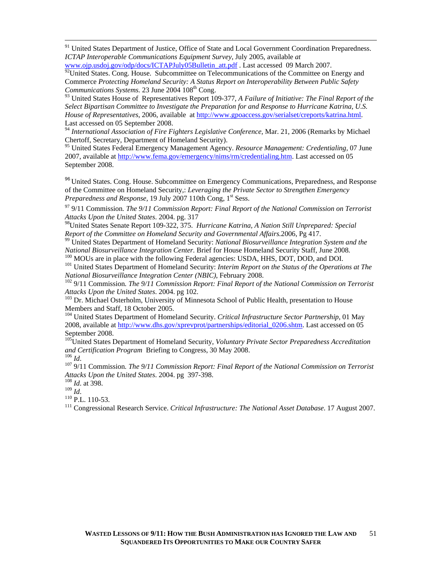<sup>91</sup> United States Department of Justice, Office of State and Local Government Coordination Preparedness. *ICTAP Interoperable Communications Equipment Survey*, July 2005, available *at* 

www.ojp.usdoj.gov/odp/docs/ICTAPJuly05Bulletin\_att.pdf . Last accessed 09 March 2007.  $92$ United States. Cong. House. Subcommittee on Telecommunications of the Committee on Energy and Commerce *Protecting Homeland Security: A Status Report on Interoperability Between Public Safety Communications Systems.* 23 June 2004 108<sup>th</sup> Cong.

93 United States House of Representatives Report 109-377, *A Failure of Initiative: The Final Report of the Select Bipartisan Committee to Investigate the Preparation for and Response to Hurricane Katrina, U.S. House of Representatives*, 2006, available at http://www.gpoaccess.gov/serialset/creports/katrina.html. Last accessed on 05 September 2008.

<sup>94</sup> International Association of Fire Fighters Legislative Conference, Mar. 21, 2006 (Remarks by Michael Chertoff, Secretary, Department of Homeland Security).

95 United States Federal Emergency Management Agency. *Resource Management: Credentialing,* 07 June 2007, available at http://www.fema.gov/emergency/nims/rm/credentialing.htm. Last accessed on 05 September 2008.

<sup>96</sup> United States. Cong. House. Subcommittee on Emergency Communications, Preparedness, and Response of the Committee on Homeland Security,: *Leveraging the Private Sector to Strengthen Emergency*  Preparedness and Response, 19 July 2007 110th Cong, 1<sup>st</sup> Sess.

97 9/11 Commission*. The 9/11 Commission Report: Final Report of the National Commission on Terrorist Attacks Upon the United States*. 2004. pg. 317

98United States Senate Report 109-322, 375. *Hurricane Katrina, A Nation Still Unprepared: Special* 

*Report of the Committee on Homeland Security and Governmental Affairs.*2006, Pg 417.<br><sup>99</sup> United States Department of Homeland Security: *National Biosurveillance Integration System and the National Biosurveillance Integr* 

 $^{100}$  MOUs are in place with the following Federal agencies: USDA, HHS, DOT, DOD, and DOI.<br> $^{101}$  United States Department of Homeland Security: *Interim Report on the Status of the Operations at The* 

*National Biosurveillance Integration Center (NBIC)*, February 2008.<br><sup>102</sup> 9/11 Commission. *The 9/11 Commission Report: Final Report of the National Commission on Terrorist Attacks Upon the United States*. 2004. pg 102.<br><sup>103</sup> Dr. Michael Osterholm, University of Minnesota School of Public Health, presentation to House

Members and Staff, 18 October 2005.

104 United States Department of Homeland Security. *Critical Infrastructure Sector Partnership*, 01 May 2008, available at http://www.dhs.gov/xprevprot/partnerships/editorial\_0206.shtm. Last accessed on 05 September 2008.

105<br>
<sup>105</sup>United States Department of Homeland Security, *Voluntary Private Sector Preparedness Accreditation*<br> *and Certification Program* Briefing to Congress, 30 May 2008.

<sup>106</sup> *Id.* <sup>2006</sup> *Id.* Commission. The 9/11 Commission Report: Final Report of the National Commission on Terrorist *Attacks Upon the United States.* 2004. pg 397-398.<br><sup>108</sup> *Id.* at 398.<br><sup>109</sup> *Id* 

<sup>110</sup> P.L. 110-53.<br><sup>111</sup> Congressional Research Service. *Critical Infrastructure: The National Asset Database*. 17 August 2007.